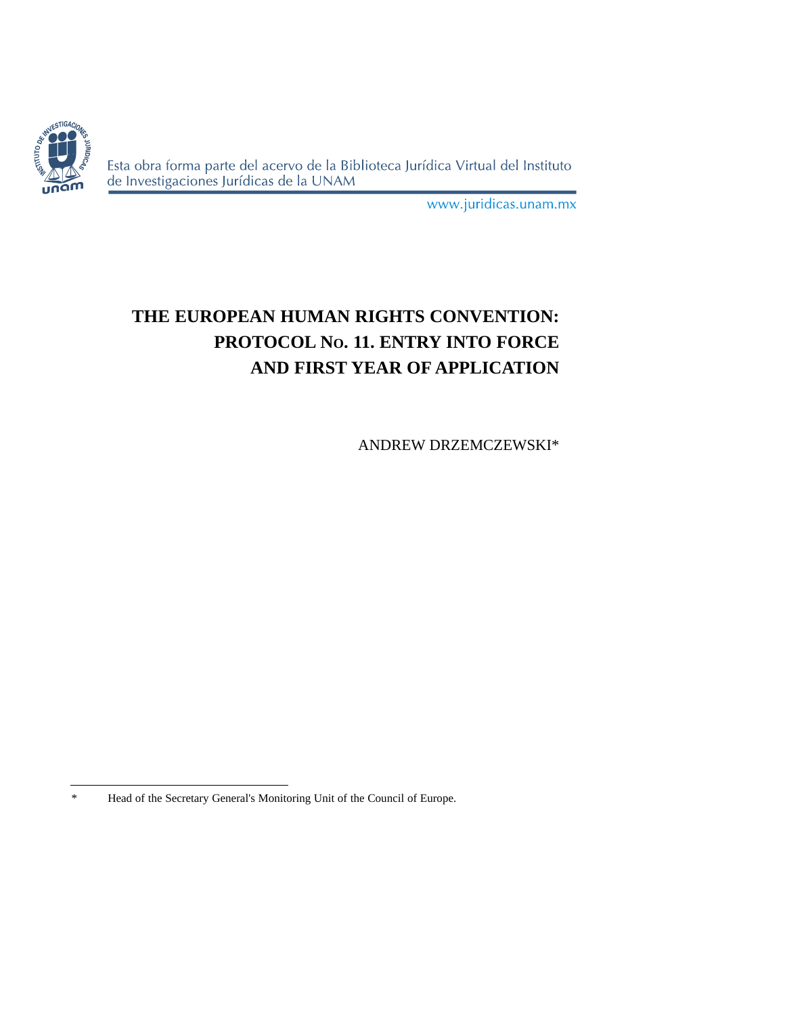

Esta obra forma parte del acervo de la Biblioteca Jurídica Virtual del Instituto de Investigaciones Jurídicas de la UNAM

www.juridicas.unam.mx

# **THE EUROPEAN HUMAN RIGHTS CONVENTION: PROTOCOL NO. 11. ENTRY INTO FORCE AND FIRST YEAR OF APPLICATION**

ANDREW DRZEMCZEWSKI\*

<sup>\*</sup> Head of the Secretary General's Monitoring Unit of the Council of Europe.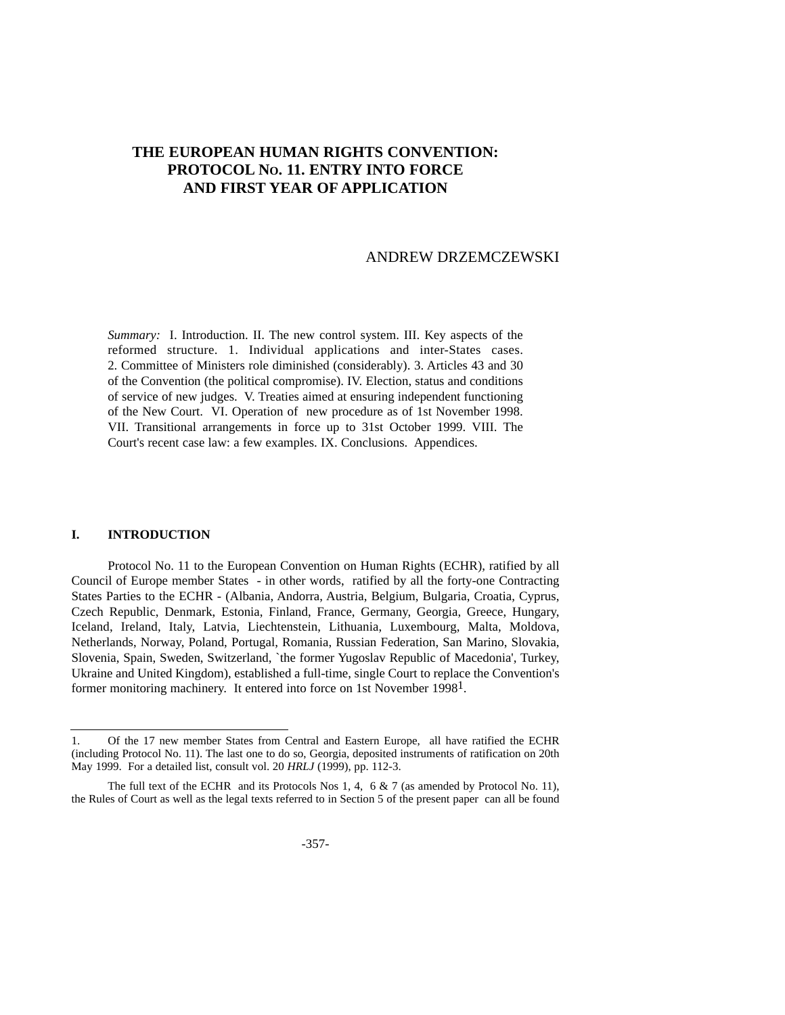# **THE EUROPEAN HUMAN RIGHTS CONVENTION: PROTOCOL NO. 11. ENTRY INTO FORCE AND FIRST YEAR OF APPLICATION**

### ANDREW DRZEMCZEWSKI

*Summary:* I. Introduction. II. The new control system. III. Key aspects of the reformed structure. 1. Individual applications and inter-States cases. 2. Committee of Ministers role diminished (considerably). 3. Articles 43 and 30 of the Convention (the political compromise). IV. Election, status and conditions of service of new judges. V. Treaties aimed at ensuring independent functioning of the New Court. VI. Operation of new procedure as of 1st November 1998. VII. Transitional arrangements in force up to 31st October 1999. VIII. The Court's recent case law: a few examples. IX. Conclusions. Appendices.

#### **I. INTRODUCTION**

Protocol No. 11 to the European Convention on Human Rights (ECHR), ratified by all Council of Europe member States - in other words, ratified by all the forty-one Contracting States Parties to the ECHR - (Albania, Andorra, Austria, Belgium, Bulgaria, Croatia, Cyprus, Czech Republic, Denmark, Estonia, Finland, France, Germany, Georgia, Greece, Hungary, Iceland, Ireland, Italy, Latvia, Liechtenstein, Lithuania, Luxembourg, Malta, Moldova, Netherlands, Norway, Poland, Portugal, Romania, Russian Federation, San Marino, Slovakia, Slovenia, Spain, Sweden, Switzerland, `the former Yugoslav Republic of Macedonia', Turkey, Ukraine and United Kingdom), established a full-time, single Court to replace the Convention's former monitoring machinery. It entered into force on 1st November 1998<sup>1</sup>.

<sup>1.</sup> Of the 17 new member States from Central and Eastern Europe, all have ratified the ECHR (including Protocol No. 11). The last one to do so, Georgia, deposited instruments of ratification on 20th May 1999. For a detailed list, consult vol. 20 *HRLJ* (1999), pp. 112-3.

The full text of the ECHR and its Protocols Nos 1, 4, 6 & 7 (as amended by Protocol No. 11), the Rules of Court as well as the legal texts referred to in Section 5 of the present paper can all be found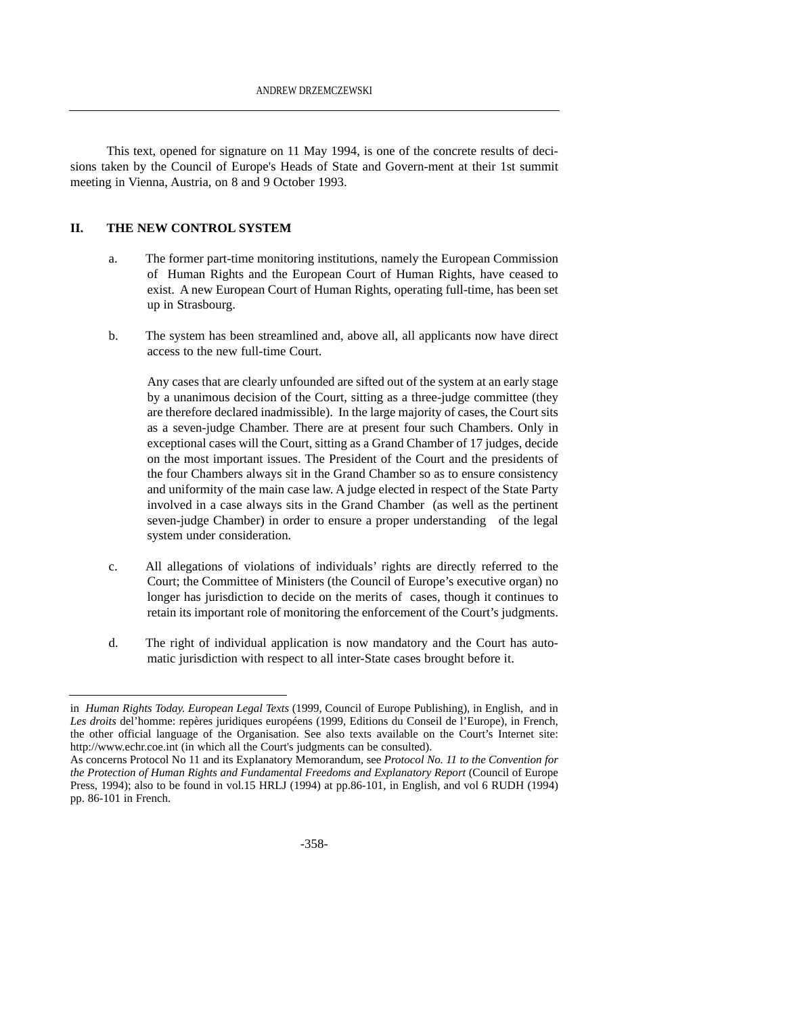This text, opened for signature on 11 May 1994, is one of the concrete results of decisions taken by the Council of Europe's Heads of State and Govern-ment at their 1st summit meeting in Vienna, Austria, on 8 and 9 October 1993.

#### **II. THE NEW CONTROL SYSTEM**

- a. The former part-time monitoring institutions, namely the European Commission of Human Rights and the European Court of Human Rights, have ceased to exist. A new European Court of Human Rights, operating full-time, has been set up in Strasbourg.
- b. The system has been streamlined and, above all, all applicants now have direct access to the new full-time Court.

Any cases that are clearly unfounded are sifted out of the system at an early stage by a unanimous decision of the Court, sitting as a three-judge committee (they are therefore declared inadmissible). In the large majority of cases, the Court sits as a seven-judge Chamber. There are at present four such Chambers. Only in exceptional cases will the Court, sitting as a Grand Chamber of 17 judges, decide on the most important issues. The President of the Court and the presidents of the four Chambers always sit in the Grand Chamber so as to ensure consistency and uniformity of the main case law. A judge elected in respect of the State Party involved in a case always sits in the Grand Chamber (as well as the pertinent seven-judge Chamber) in order to ensure a proper understanding of the legal system under consideration.

- c. All allegations of violations of individuals' rights are directly referred to the Court; the Committee of Ministers (the Council of Europe's executive organ) no longer has jurisdiction to decide on the merits of cases, though it continues to retain its important role of monitoring the enforcement of the Court's judgments.
- d. The right of individual application is now mandatory and the Court has automatic jurisdiction with respect to all inter-State cases brought before it.

in *Human Rights Today. European Legal Texts* (1999, Council of Europe Publishing), in English, and in Les droits del'homme: repères juridiques européens (1999, Editions du Conseil de l'Europe), in French, the other official language of the Organisation. See also texts available on the Court's Internet site: http://www.echr.coe.int (in which all the Court's judgments can be consulted).

As concerns Protocol No 11 and its Explanatory Memorandum, see *Protocol No. 11 to the Convention for the Protection of Human Rights and Fundamental Freedoms and Explanatory Report* (Council of Europe Press, 1994); also to be found in vol.15 HRLJ (1994) at pp.86-101, in English, and vol 6 RUDH (1994) pp. 86-101 in French.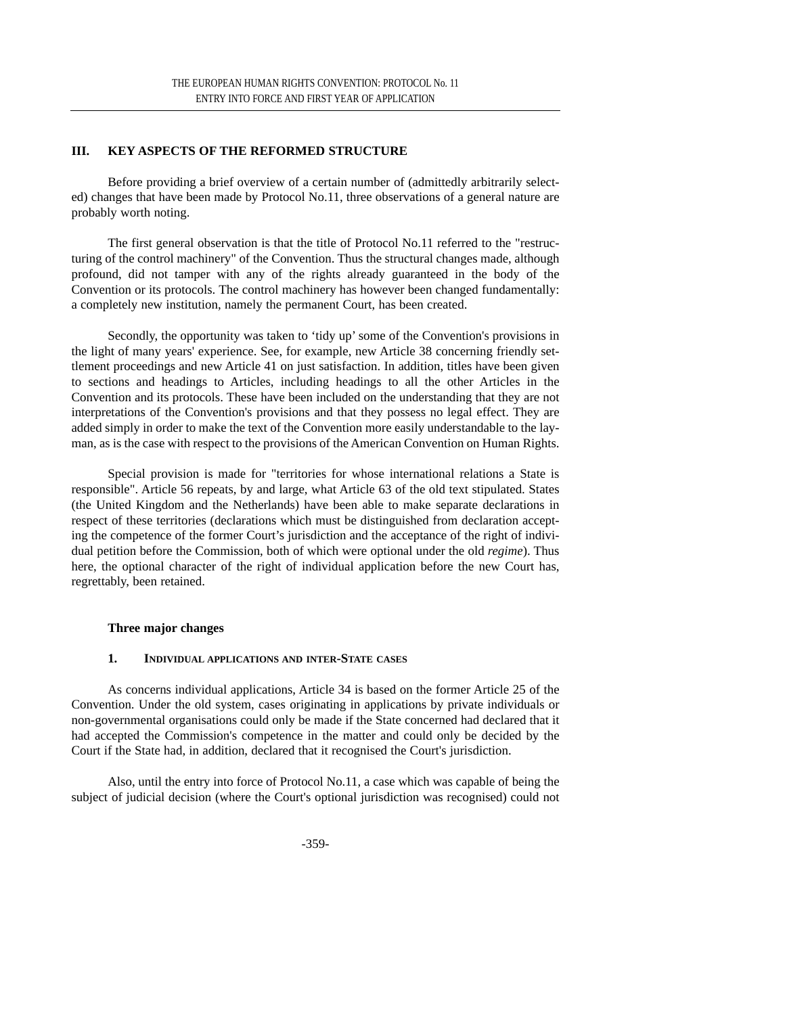# **III. KEY ASPECTS OF THE REFORMED STRUCTURE**

Before providing a brief overview of a certain number of (admittedly arbitrarily selected) changes that have been made by Protocol No.11, three observations of a general nature are probably worth noting.

The first general observation is that the title of Protocol No.11 referred to the "restructuring of the control machinery" of the Convention. Thus the structural changes made, although profound, did not tamper with any of the rights already guaranteed in the body of the Convention or its protocols. The control machinery has however been changed fundamentally: a completely new institution, namely the permanent Court, has been created.

Secondly, the opportunity was taken to 'tidy up' some of the Convention's provisions in the light of many years' experience. See, for example, new Article 38 concerning friendly settlement proceedings and new Article 41 on just satisfaction. In addition, titles have been given to sections and headings to Articles, including headings to all the other Articles in the Convention and its protocols. These have been included on the understanding that they are not interpretations of the Convention's provisions and that they possess no legal effect. They are added simply in order to make the text of the Convention more easily understandable to the layman, as is the case with respect to the provisions of the American Convention on Human Rights.

Special provision is made for "territories for whose international relations a State is responsible". Article 56 repeats, by and large, what Article 63 of the old text stipulated. States (the United Kingdom and the Netherlands) have been able to make separate declarations in respect of these territories (declarations which must be distinguished from declaration accepting the competence of the former Court's jurisdiction and the acceptance of the right of individual petition before the Commission, both of which were optional under the old *regime*). Thus here, the optional character of the right of individual application before the new Court has, regrettably, been retained.

#### **Three major changes**

#### **1. INDIVIDUAL APPLICATIONS AND INTER-STATE CASES**

As concerns individual applications, Article 34 is based on the former Article 25 of the Convention. Under the old system, cases originating in applications by private individuals or non-governmental organisations could only be made if the State concerned had declared that it had accepted the Commission's competence in the matter and could only be decided by the Court if the State had, in addition, declared that it recognised the Court's jurisdiction.

Also, until the entry into force of Protocol No.11, a case which was capable of being the subject of judicial decision (where the Court's optional jurisdiction was recognised) could not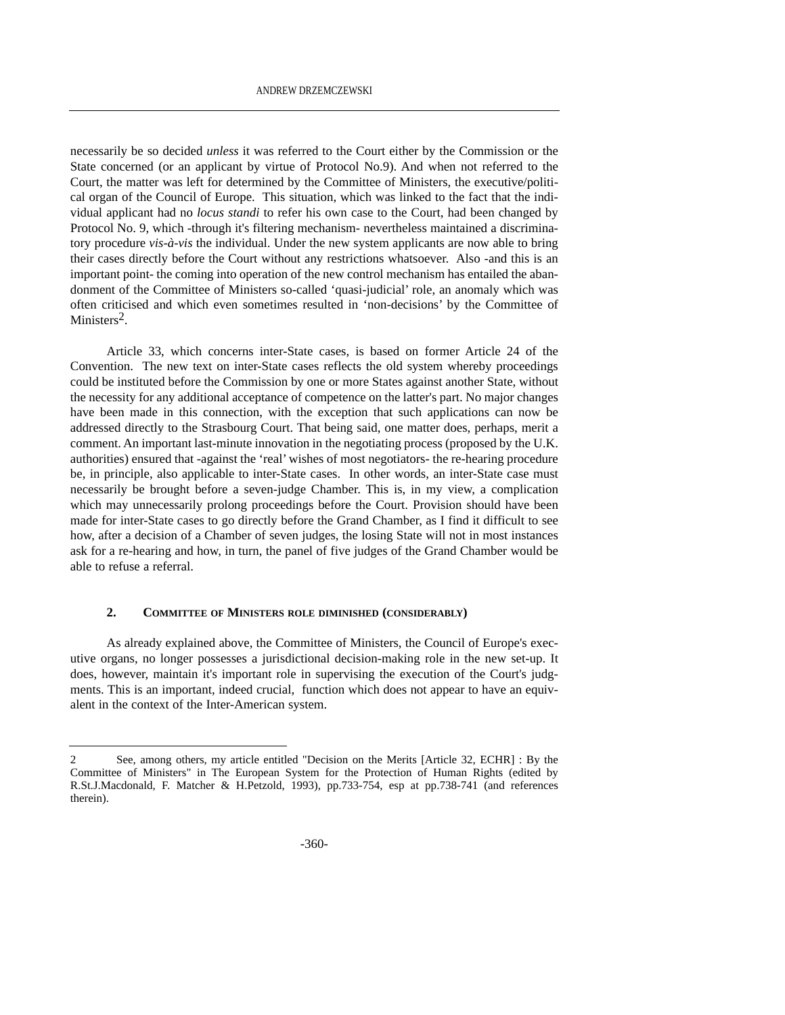necessarily be so decided *unless* it was referred to the Court either by the Commission or the State concerned (or an applicant by virtue of Protocol No.9). And when not referred to the Court, the matter was left for determined by the Committee of Ministers, the executive/political organ of the Council of Europe. This situation, which was linked to the fact that the individual applicant had no *locus standi* to refer his own case to the Court, had been changed by Protocol No. 9, which -through it's filtering mechanism- nevertheless maintained a discriminatory procedure *vis-à-vis* the individual. Under the new system applicants are now able to bring their cases directly before the Court without any restrictions whatsoever. Also -and this is an important point- the coming into operation of the new control mechanism has entailed the abandonment of the Committee of Ministers so-called 'quasi-judicial' role, an anomaly which was often criticised and which even sometimes resulted in 'non-decisions' by the Committee of Ministers<sup>2</sup>

Article 33, which concerns inter-State cases, is based on former Article 24 of the Convention. The new text on inter-State cases reflects the old system whereby proceedings could be instituted before the Commission by one or more States against another State, without the necessity for any additional acceptance of competence on the latter's part. No major changes have been made in this connection, with the exception that such applications can now be addressed directly to the Strasbourg Court. That being said, one matter does, perhaps, merit a comment. An important last-minute innovation in the negotiating process (proposed by the U.K. authorities) ensured that -against the 'real' wishes of most negotiators- the re-hearing procedure be, in principle, also applicable to inter-State cases. In other words, an inter-State case must necessarily be brought before a seven-judge Chamber. This is, in my view, a complication which may unnecessarily prolong proceedings before the Court. Provision should have been made for inter-State cases to go directly before the Grand Chamber, as I find it difficult to see how, after a decision of a Chamber of seven judges, the losing State will not in most instances ask for a re-hearing and how, in turn, the panel of five judges of the Grand Chamber would be able to refuse a referral.

#### **2. COMMITTEE OF MINISTERS ROLE DIMINISHED (CONSIDERABLY)**

As already explained above, the Committee of Ministers, the Council of Europe's executive organs, no longer possesses a jurisdictional decision-making role in the new set-up. It does, however, maintain it's important role in supervising the execution of the Court's judgments. This is an important, indeed crucial, function which does not appear to have an equivalent in the context of the Inter-American system.

<sup>2</sup> See, among others, my article entitled "Decision on the Merits [Article 32, ECHR] : By the Committee of Ministers" in The European System for the Protection of Human Rights (edited by R.St.J.Macdonald, F. Matcher & H.Petzold, 1993), pp.733-754, esp at pp.738-741 (and references therein).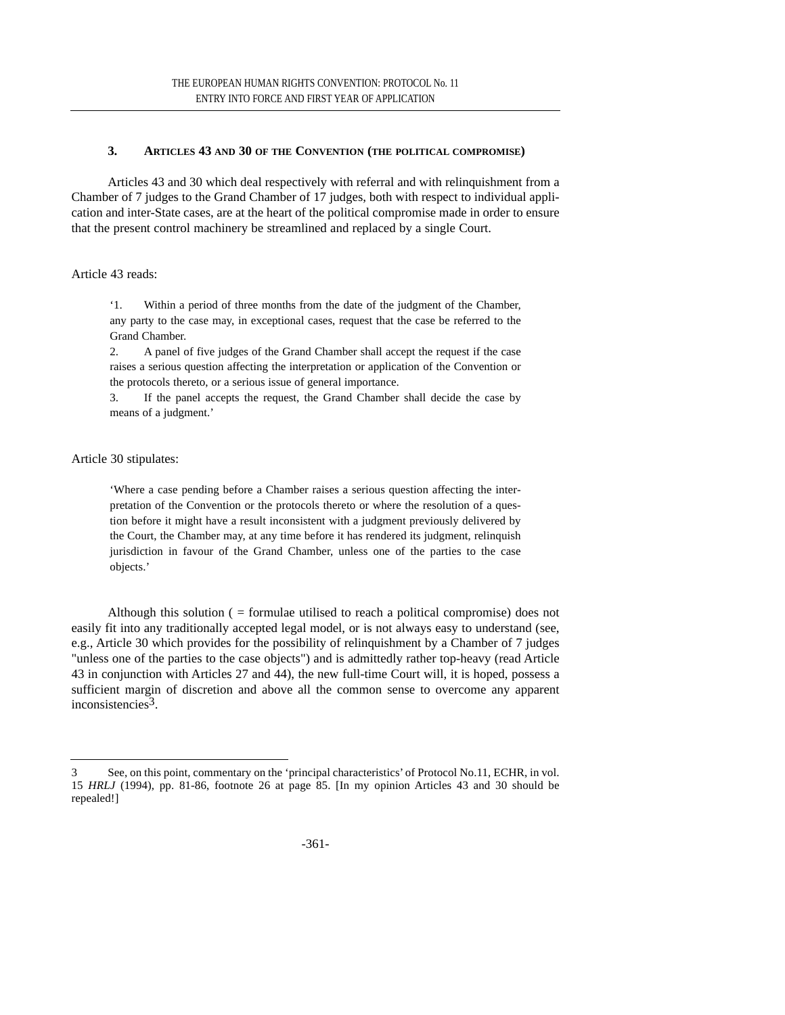### **3. ARTICLES 43 AND 30 OF THE CONVENTION (THE POLITICAL COMPROMISE)**

Articles 43 and 30 which deal respectively with referral and with relinquishment from a Chamber of 7 judges to the Grand Chamber of 17 judges, both with respect to individual application and inter-State cases, are at the heart of the political compromise made in order to ensure that the present control machinery be streamlined and replaced by a single Court.

Article 43 reads:

'1. Within a period of three months from the date of the judgment of the Chamber, any party to the case may, in exceptional cases, request that the case be referred to the Grand Chamber.

2. A panel of five judges of the Grand Chamber shall accept the request if the case raises a serious question affecting the interpretation or application of the Convention or the protocols thereto, or a serious issue of general importance.

3. If the panel accepts the request, the Grand Chamber shall decide the case by means of a judgment.'

Article 30 stipulates:

'Where a case pending before a Chamber raises a serious question affecting the interpretation of the Convention or the protocols thereto or where the resolution of a question before it might have a result inconsistent with a judgment previously delivered by the Court, the Chamber may, at any time before it has rendered its judgment, relinquish jurisdiction in favour of the Grand Chamber, unless one of the parties to the case objects.'

Although this solution ( = formulae utilised to reach a political compromise) does not easily fit into any traditionally accepted legal model, or is not always easy to understand (see, e.g., Article 30 which provides for the possibility of relinquishment by a Chamber of 7 judges "unless one of the parties to the case objects") and is admittedly rather top-heavy (read Article 43 in conjunction with Articles 27 and 44), the new full-time Court will, it is hoped, possess a sufficient margin of discretion and above all the common sense to overcome any apparent inconsistencies3.

<sup>3</sup> See, on this point, commentary on the 'principal characteristics' of Protocol No.11, ECHR, in vol. 15 *HRLJ* (1994), pp. 81-86, footnote 26 at page 85. [In my opinion Articles 43 and 30 should be repealed!]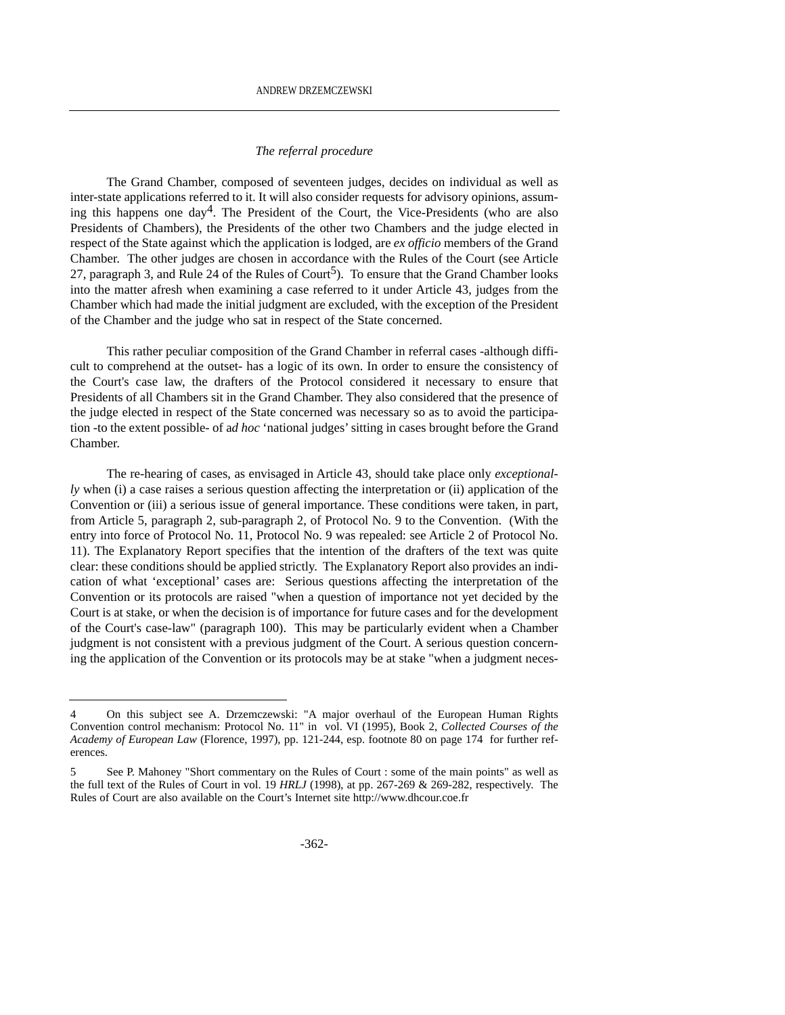#### *The referral procedure*

The Grand Chamber, composed of seventeen judges, decides on individual as well as inter-state applications referred to it. It will also consider requests for advisory opinions, assuming this happens one  $day^4$ . The President of the Court, the Vice-Presidents (who are also Presidents of Chambers), the Presidents of the other two Chambers and the judge elected in respect of the State against which the application is lodged, are *ex officio* members of the Grand Chamber. The other judges are chosen in accordance with the Rules of the Court (see Article 27, paragraph 3, and Rule 24 of the Rules of Court<sup>5</sup>). To ensure that the Grand Chamber looks into the matter afresh when examining a case referred to it under Article 43, judges from the Chamber which had made the initial judgment are excluded, with the exception of the President of the Chamber and the judge who sat in respect of the State concerned.

This rather peculiar composition of the Grand Chamber in referral cases -although difficult to comprehend at the outset- has a logic of its own. In order to ensure the consistency of the Court's case law, the drafters of the Protocol considered it necessary to ensure that Presidents of all Chambers sit in the Grand Chamber. They also considered that the presence of the judge elected in respect of the State concerned was necessary so as to avoid the participation -to the extent possible- of a*d hoc* 'national judges' sitting in cases brought before the Grand Chamber.

The re-hearing of cases, as envisaged in Article 43, should take place only *exceptionally* when (i) a case raises a serious question affecting the interpretation or (ii) application of the Convention or (iii) a serious issue of general importance. These conditions were taken, in part, from Article 5, paragraph 2, sub-paragraph 2, of Protocol No. 9 to the Convention. (With the entry into force of Protocol No. 11, Protocol No. 9 was repealed: see Article 2 of Protocol No. 11). The Explanatory Report specifies that the intention of the drafters of the text was quite clear: these conditions should be applied strictly. The Explanatory Report also provides an indication of what 'exceptional' cases are: Serious questions affecting the interpretation of the Convention or its protocols are raised "when a question of importance not yet decided by the Court is at stake, or when the decision is of importance for future cases and for the development of the Court's case-law" (paragraph 100). This may be particularly evident when a Chamber judgment is not consistent with a previous judgment of the Court. A serious question concerning the application of the Convention or its protocols may be at stake "when a judgment neces-

<sup>4</sup> On this subject see A. Drzemczewski: "A major overhaul of the European Human Rights Convention control mechanism: Protocol No. 11" in vol. VI (1995), Book 2, *Collected Courses of the Academy of European Law* (Florence, 1997), pp. 121-244, esp. footnote 80 on page 174 for further references.

<sup>5</sup> See P. Mahoney "Short commentary on the Rules of Court : some of the main points" as well as the full text of the Rules of Court in vol. 19 *HRLJ* (1998), at pp. 267-269 & 269-282, respectively. The Rules of Court are also available on the Court's Internet site http://www.dhcour.coe.fr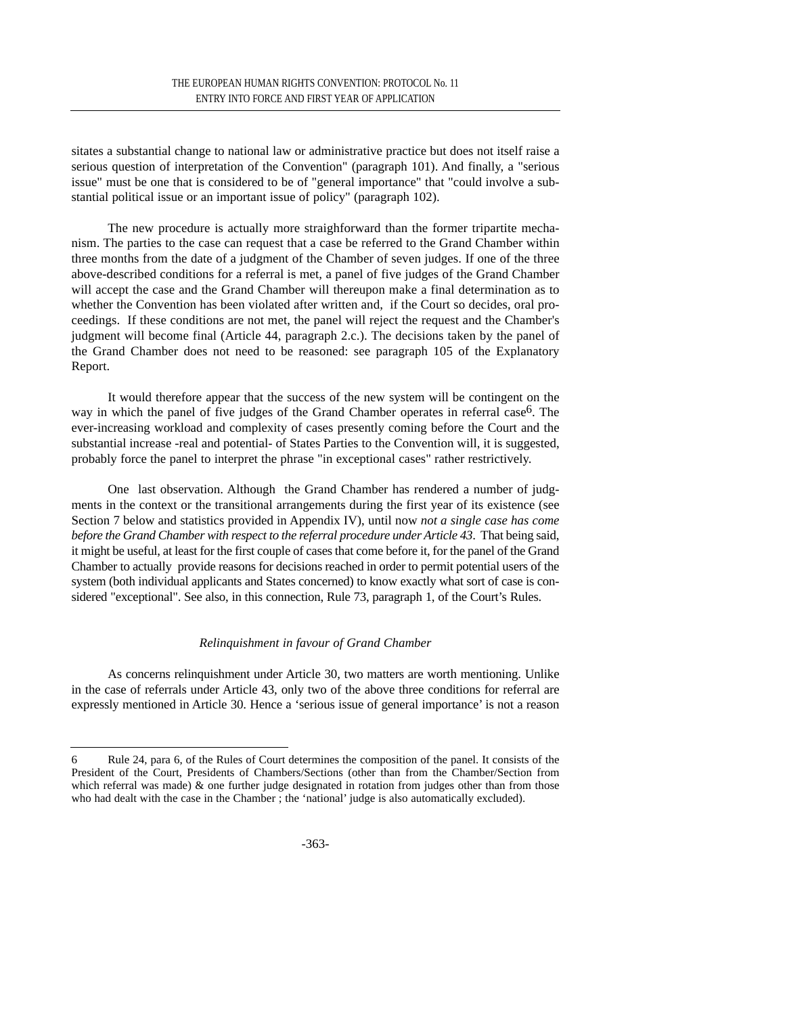sitates a substantial change to national law or administrative practice but does not itself raise a serious question of interpretation of the Convention" (paragraph 101). And finally, a "serious issue" must be one that is considered to be of "general importance" that "could involve a substantial political issue or an important issue of policy" (paragraph 102).

The new procedure is actually more straighforward than the former tripartite mechanism. The parties to the case can request that a case be referred to the Grand Chamber within three months from the date of a judgment of the Chamber of seven judges. If one of the three above-described conditions for a referral is met, a panel of five judges of the Grand Chamber will accept the case and the Grand Chamber will thereupon make a final determination as to whether the Convention has been violated after written and, if the Court so decides, oral proceedings. If these conditions are not met, the panel will reject the request and the Chamber's judgment will become final (Article 44, paragraph 2.c.). The decisions taken by the panel of the Grand Chamber does not need to be reasoned: see paragraph 105 of the Explanatory Report.

It would therefore appear that the success of the new system will be contingent on the way in which the panel of five judges of the Grand Chamber operates in referral case<sup>6</sup>. The ever-increasing workload and complexity of cases presently coming before the Court and the substantial increase -real and potential- of States Parties to the Convention will, it is suggested, probably force the panel to interpret the phrase "in exceptional cases" rather restrictively.

One last observation. Although the Grand Chamber has rendered a number of judgments in the context or the transitional arrangements during the first year of its existence (see Section 7 below and statistics provided in Appendix IV), until now *not a single case has come before the Grand Chamber with respect to the referral procedure under Article 43*. That being said, it might be useful, at least for the first couple of cases that come before it, for the panel of the Grand Chamber to actually provide reasons for decisions reached in order to permit potential users of the system (both individual applicants and States concerned) to know exactly what sort of case is considered "exceptional". See also, in this connection, Rule 73, paragraph 1, of the Court's Rules.

# *Relinquishment in favour of Grand Chamber*

As concerns relinquishment under Article 30, two matters are worth mentioning. Unlike in the case of referrals under Article 43, only two of the above three conditions for referral are expressly mentioned in Article 30. Hence a 'serious issue of general importance' is not a reason

<sup>6</sup> Rule 24, para 6, of the Rules of Court determines the composition of the panel. It consists of the President of the Court, Presidents of Chambers/Sections (other than from the Chamber/Section from which referral was made)  $\&$  one further judge designated in rotation from judges other than from those who had dealt with the case in the Chamber ; the 'national' judge is also automatically excluded).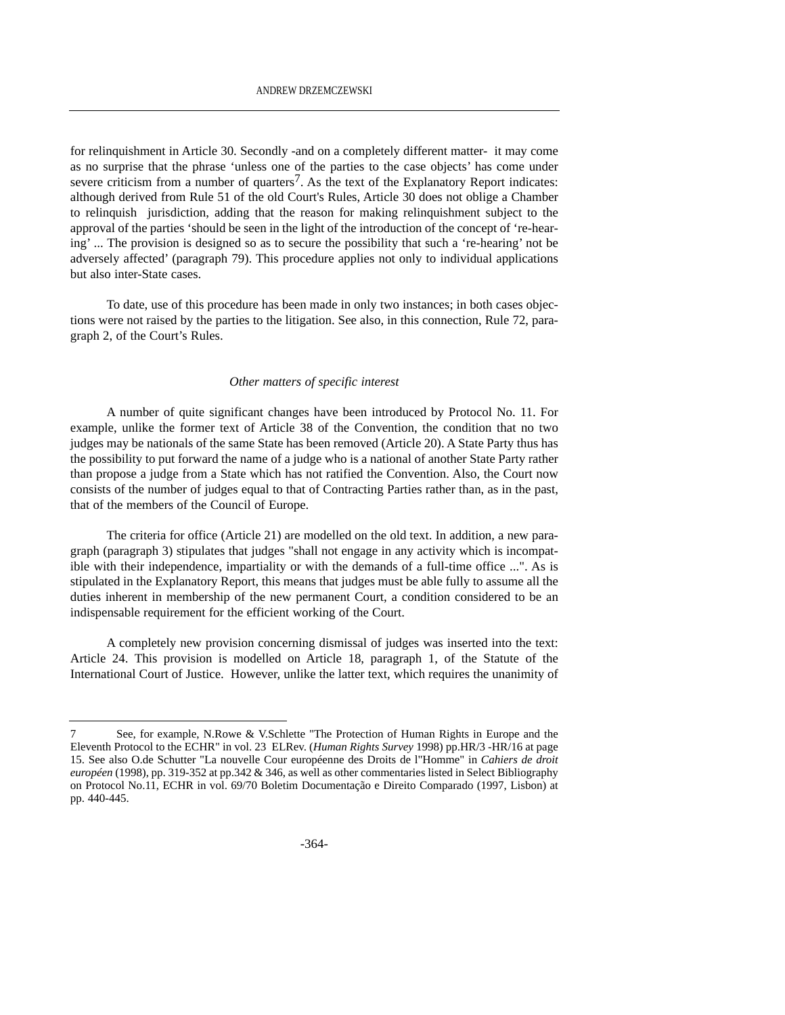for relinquishment in Article 30. Secondly -and on a completely different matter- it may come as no surprise that the phrase 'unless one of the parties to the case objects' has come under severe criticism from a number of quarters<sup>7</sup>. As the text of the Explanatory Report indicates: although derived from Rule 51 of the old Court's Rules, Article 30 does not oblige a Chamber to relinquish jurisdiction, adding that the reason for making relinquishment subject to the approval of the parties 'should be seen in the light of the introduction of the concept of 're-hearing' ... The provision is designed so as to secure the possibility that such a 're-hearing' not be adversely affected' (paragraph 79). This procedure applies not only to individual applications but also inter-State cases.

To date, use of this procedure has been made in only two instances; in both cases objections were not raised by the parties to the litigation. See also, in this connection, Rule 72, paragraph 2, of the Court's Rules.

#### *Other matters of specific interest*

A number of quite significant changes have been introduced by Protocol No. 11. For example, unlike the former text of Article 38 of the Convention, the condition that no two judges may be nationals of the same State has been removed (Article 20). A State Party thus has the possibility to put forward the name of a judge who is a national of another State Party rather than propose a judge from a State which has not ratified the Convention. Also, the Court now consists of the number of judges equal to that of Contracting Parties rather than, as in the past, that of the members of the Council of Europe.

The criteria for office (Article 21) are modelled on the old text. In addition, a new paragraph (paragraph 3) stipulates that judges "shall not engage in any activity which is incompatible with their independence, impartiality or with the demands of a full-time office ...". As is stipulated in the Explanatory Report, this means that judges must be able fully to assume all the duties inherent in membership of the new permanent Court, a condition considered to be an indispensable requirement for the efficient working of the Court.

A completely new provision concerning dismissal of judges was inserted into the text: Article 24. This provision is modelled on Article 18, paragraph 1, of the Statute of the International Court of Justice. However, unlike the latter text, which requires the unanimity of

<sup>7</sup> See, for example, N.Rowe & V.Schlette "The Protection of Human Rights in Europe and the Eleventh Protocol to the ECHR" in vol. 23 ELRev. (*Human Rights Survey* 1998) pp.HR/3 -HR/16 at page 15. See also O.de Schutter "La nouvelle Cour européenne des Droits de l"Homme" in *Cahiers de droit européen* (1998), pp. 319-352 at pp.342 & 346, as well as other commentaries listed in Select Bibliography on Protocol No.11, ECHR in vol. 69/70 Boletim Documentação e Direito Comparado (1997, Lisbon) at pp. 440-445.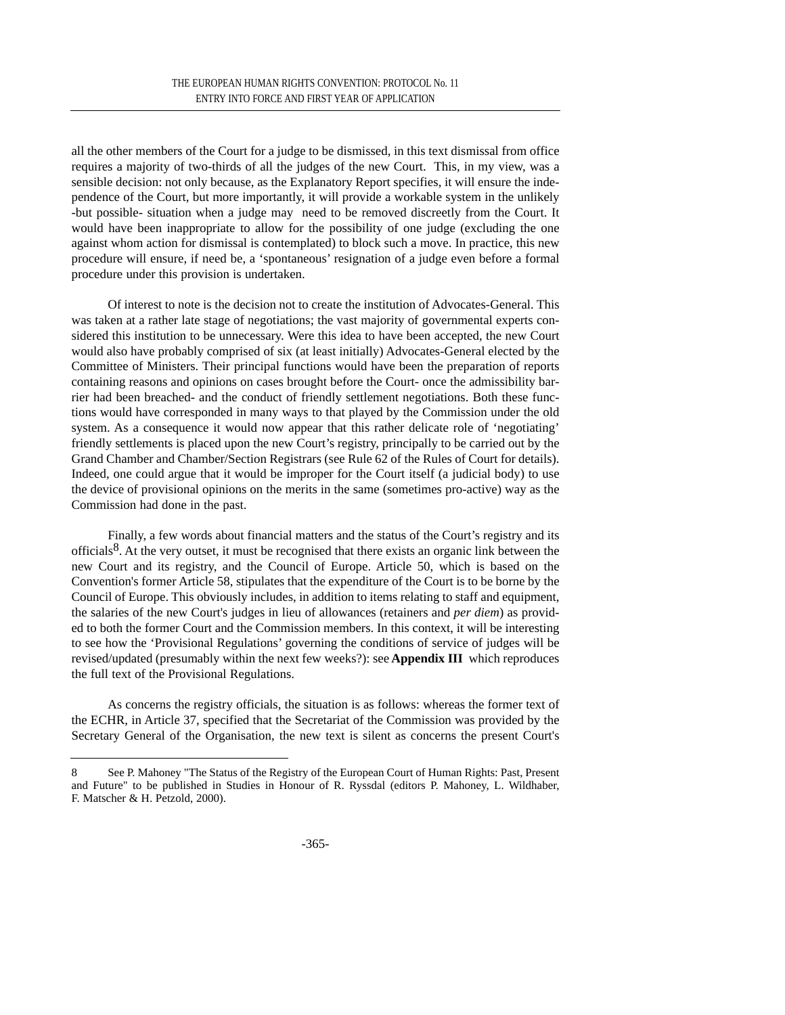all the other members of the Court for a judge to be dismissed, in this text dismissal from office requires a majority of two-thirds of all the judges of the new Court. This, in my view, was a sensible decision: not only because, as the Explanatory Report specifies, it will ensure the independence of the Court, but more importantly, it will provide a workable system in the unlikely -but possible- situation when a judge may need to be removed discreetly from the Court. It would have been inappropriate to allow for the possibility of one judge (excluding the one against whom action for dismissal is contemplated) to block such a move. In practice, this new procedure will ensure, if need be, a 'spontaneous' resignation of a judge even before a formal procedure under this provision is undertaken.

Of interest to note is the decision not to create the institution of Advocates-General. This was taken at a rather late stage of negotiations; the vast majority of governmental experts considered this institution to be unnecessary. Were this idea to have been accepted, the new Court would also have probably comprised of six (at least initially) Advocates-General elected by the Committee of Ministers. Their principal functions would have been the preparation of reports containing reasons and opinions on cases brought before the Court- once the admissibility barrier had been breached- and the conduct of friendly settlement negotiations. Both these functions would have corresponded in many ways to that played by the Commission under the old system. As a consequence it would now appear that this rather delicate role of 'negotiating' friendly settlements is placed upon the new Court's registry, principally to be carried out by the Grand Chamber and Chamber/Section Registrars (see Rule 62 of the Rules of Court for details). Indeed, one could argue that it would be improper for the Court itself (a judicial body) to use the device of provisional opinions on the merits in the same (sometimes pro-active) way as the Commission had done in the past.

Finally, a few words about financial matters and the status of the Court's registry and its officials<sup>8</sup>. At the very outset, it must be recognised that there exists an organic link between the new Court and its registry, and the Council of Europe. Article 50, which is based on the Convention's former Article 58, stipulates that the expenditure of the Court is to be borne by the Council of Europe. This obviously includes, in addition to items relating to staff and equipment, the salaries of the new Court's judges in lieu of allowances (retainers and *per diem*) as provided to both the former Court and the Commission members. In this context, it will be interesting to see how the 'Provisional Regulations' governing the conditions of service of judges will be revised/updated (presumably within the next few weeks?): see **Appendix III** which reproduces the full text of the Provisional Regulations.

As concerns the registry officials, the situation is as follows: whereas the former text of the ECHR, in Article 37, specified that the Secretariat of the Commission was provided by the Secretary General of the Organisation, the new text is silent as concerns the present Court's

<sup>8</sup> See P. Mahoney "The Status of the Registry of the European Court of Human Rights: Past, Present and Future" to be published in Studies in Honour of R. Ryssdal (editors P. Mahoney, L. Wildhaber, F. Matscher & H. Petzold, 2000).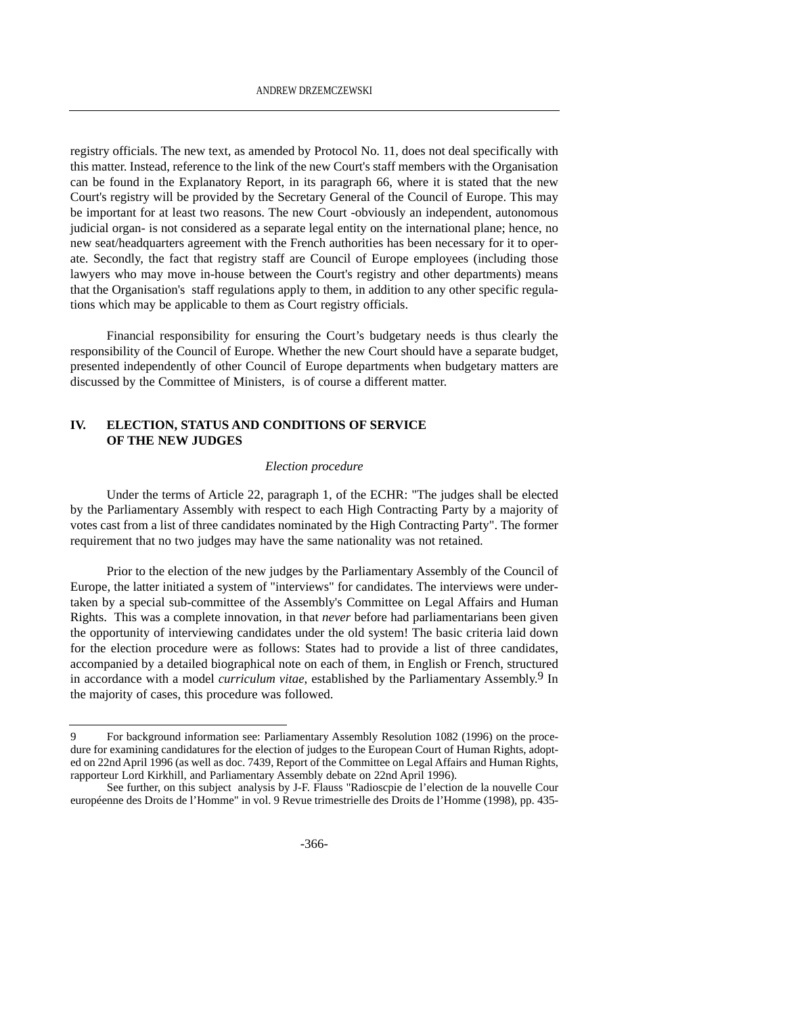registry officials. The new text, as amended by Protocol No. 11, does not deal specifically with this matter. Instead, reference to the link of the new Court's staff members with the Organisation can be found in the Explanatory Report, in its paragraph 66, where it is stated that the new Court's registry will be provided by the Secretary General of the Council of Europe. This may be important for at least two reasons. The new Court -obviously an independent, autonomous judicial organ- is not considered as a separate legal entity on the international plane; hence, no new seat/headquarters agreement with the French authorities has been necessary for it to operate. Secondly, the fact that registry staff are Council of Europe employees (including those lawyers who may move in-house between the Court's registry and other departments) means that the Organisation's staff regulations apply to them, in addition to any other specific regulations which may be applicable to them as Court registry officials.

Financial responsibility for ensuring the Court's budgetary needs is thus clearly the responsibility of the Council of Europe. Whether the new Court should have a separate budget, presented independently of other Council of Europe departments when budgetary matters are discussed by the Committee of Ministers, is of course a different matter.

# **IV. ELECTION, STATUS AND CONDITIONS OF SERVICE OF THE NEW JUDGES**

#### *Election procedure*

Under the terms of Article 22, paragraph 1, of the ECHR: "The judges shall be elected by the Parliamentary Assembly with respect to each High Contracting Party by a majority of votes cast from a list of three candidates nominated by the High Contracting Party". The former requirement that no two judges may have the same nationality was not retained.

Prior to the election of the new judges by the Parliamentary Assembly of the Council of Europe, the latter initiated a system of "interviews" for candidates. The interviews were undertaken by a special sub-committee of the Assembly's Committee on Legal Affairs and Human Rights. This was a complete innovation, in that *never* before had parliamentarians been given the opportunity of interviewing candidates under the old system! The basic criteria laid down for the election procedure were as follows: States had to provide a list of three candidates, accompanied by a detailed biographical note on each of them, in English or French, structured in accordance with a model *curriculum vitae*, established by the Parliamentary Assembly.9 In the majority of cases, this procedure was followed.

<sup>9</sup> For background information see: Parliamentary Assembly Resolution 1082 (1996) on the procedure for examining candidatures for the election of judges to the European Court of Human Rights, adopted on 22nd April 1996 (as well as doc. 7439, Report of the Committee on Legal Affairs and Human Rights, rapporteur Lord Kirkhill, and Parliamentary Assembly debate on 22nd April 1996).

See further, on this subject analysis by J-F. Flauss "Radioscpie de l'election de la nouvelle Cour européenne des Droits de l'Homme" in vol. 9 Revue trimestrielle des Droits de l'Homme (1998), pp. 435-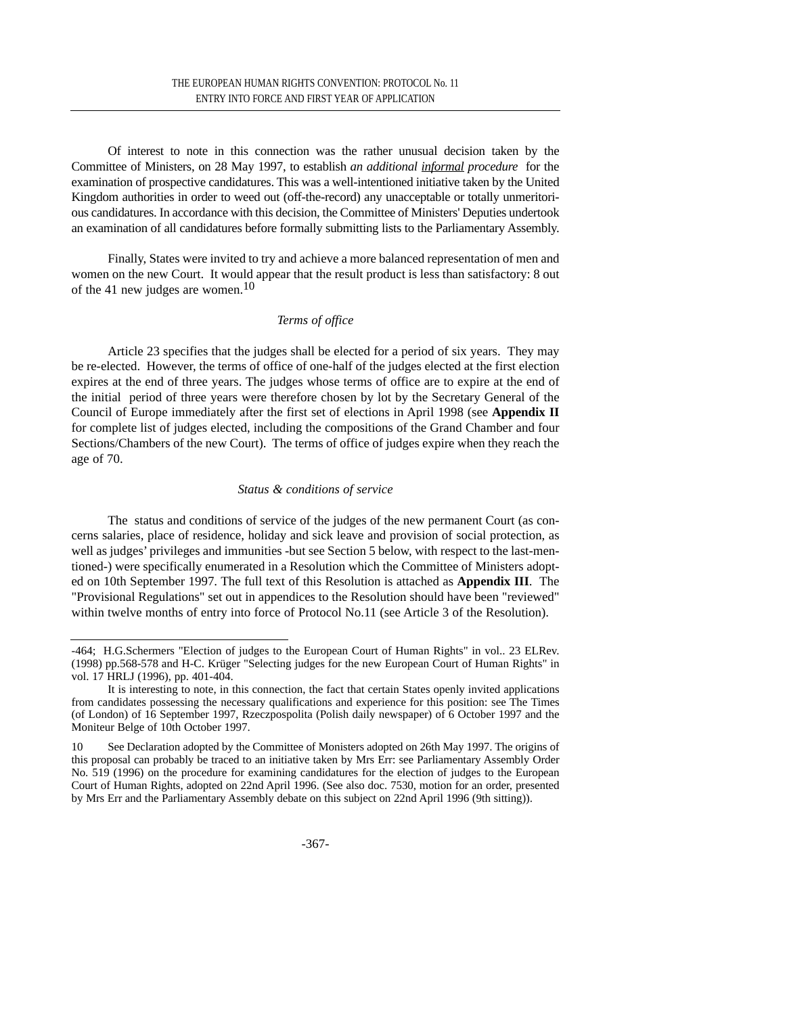Of interest to note in this connection was the rather unusual decision taken by the Committee of Ministers, on 28 May 1997, to establish *an additional informal procedure* for the examination of prospective candidatures. This was a well-intentioned initiative taken by the United Kingdom authorities in order to weed out (off-the-record) any unacceptable or totally unmeritorious candidatures. In accordance with this decision, the Committee of Ministers' Deputies undertook an examination of all candidatures before formally submitting lists to the Parliamentary Assembly.

Finally, States were invited to try and achieve a more balanced representation of men and women on the new Court. It would appear that the result product is less than satisfactory: 8 out of the 41 new judges are women.<sup>10</sup>

### *Terms of office*

Article 23 specifies that the judges shall be elected for a period of six years. They may be re-elected. However, the terms of office of one-half of the judges elected at the first election expires at the end of three years. The judges whose terms of office are to expire at the end of the initial period of three years were therefore chosen by lot by the Secretary General of the Council of Europe immediately after the first set of elections in April 1998 (see **Appendix II** for complete list of judges elected, including the compositions of the Grand Chamber and four Sections/Chambers of the new Court). The terms of office of judges expire when they reach the age of 70.

#### *Status & conditions of service*

The status and conditions of service of the judges of the new permanent Court (as concerns salaries, place of residence, holiday and sick leave and provision of social protection, as well as judges' privileges and immunities -but see Section 5 below, with respect to the last-mentioned-) were specifically enumerated in a Resolution which the Committee of Ministers adopted on 10th September 1997. The full text of this Resolution is attached as **Appendix III**. The "Provisional Regulations" set out in appendices to the Resolution should have been "reviewed" within twelve months of entry into force of Protocol No.11 (see Article 3 of the Resolution).

<sup>-464;</sup> H.G.Schermers "Election of judges to the European Court of Human Rights" in vol.. 23 ELRev. (1998) pp.568-578 and H-C. Krüger "Selecting judges for the new European Court of Human Rights" in vol. 17 HRLJ (1996), pp. 401-404.

It is interesting to note, in this connection, the fact that certain States openly invited applications from candidates possessing the necessary qualifications and experience for this position: see The Times (of London) of 16 September 1997, Rzeczpospolita (Polish daily newspaper) of 6 October 1997 and the Moniteur Belge of 10th October 1997.

<sup>10</sup> See Declaration adopted by the Committee of Monisters adopted on 26th May 1997. The origins of this proposal can probably be traced to an initiative taken by Mrs Err: see Parliamentary Assembly Order No. 519 (1996) on the procedure for examining candidatures for the election of judges to the European Court of Human Rights, adopted on 22nd April 1996. (See also doc. 7530, motion for an order, presented by Mrs Err and the Parliamentary Assembly debate on this subject on 22nd April 1996 (9th sitting)).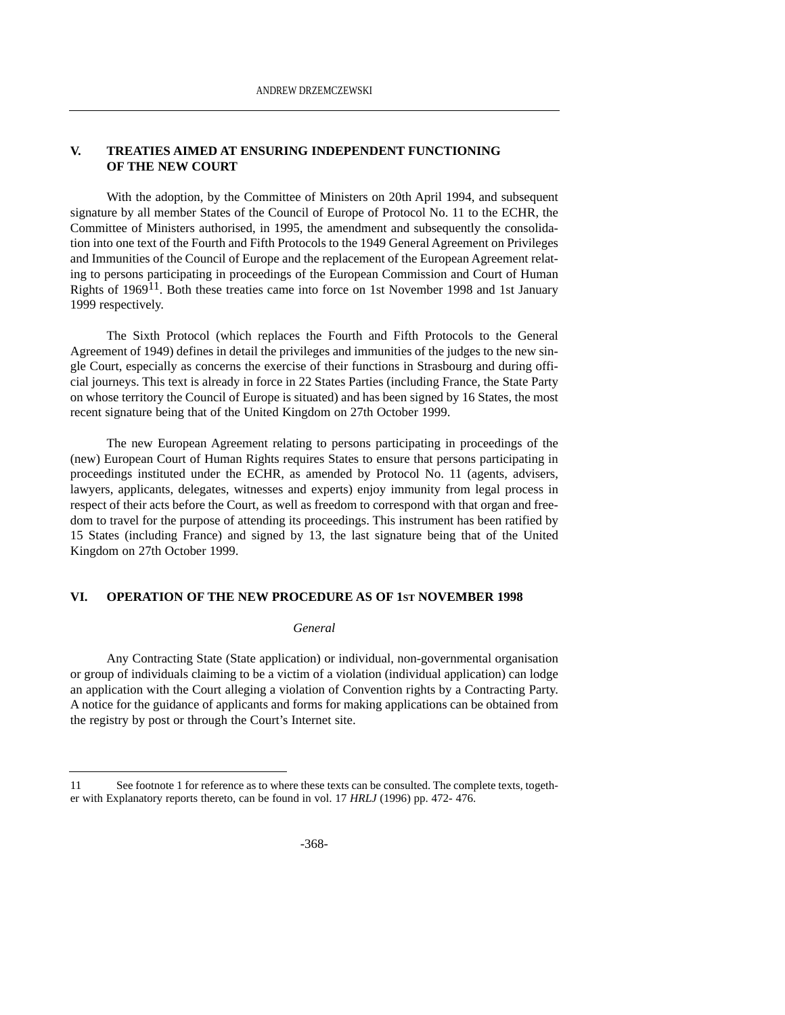### **V. TREATIES AIMED AT ENSURING INDEPENDENT FUNCTIONING OF THE NEW COURT**

With the adoption, by the Committee of Ministers on 20th April 1994, and subsequent signature by all member States of the Council of Europe of Protocol No. 11 to the ECHR, the Committee of Ministers authorised, in 1995, the amendment and subsequently the consolidation into one text of the Fourth and Fifth Protocols to the 1949 General Agreement on Privileges and Immunities of the Council of Europe and the replacement of the European Agreement relating to persons participating in proceedings of the European Commission and Court of Human Rights of 196911. Both these treaties came into force on 1st November 1998 and 1st January 1999 respectively.

The Sixth Protocol (which replaces the Fourth and Fifth Protocols to the General Agreement of 1949) defines in detail the privileges and immunities of the judges to the new single Court, especially as concerns the exercise of their functions in Strasbourg and during official journeys. This text is already in force in 22 States Parties (including France, the State Party on whose territory the Council of Europe is situated) and has been signed by 16 States, the most recent signature being that of the United Kingdom on 27th October 1999.

The new European Agreement relating to persons participating in proceedings of the (new) European Court of Human Rights requires States to ensure that persons participating in proceedings instituted under the ECHR, as amended by Protocol No. 11 (agents, advisers, lawyers, applicants, delegates, witnesses and experts) enjoy immunity from legal process in respect of their acts before the Court, as well as freedom to correspond with that organ and freedom to travel for the purpose of attending its proceedings. This instrument has been ratified by 15 States (including France) and signed by 13, the last signature being that of the United Kingdom on 27th October 1999.

#### **VI. OPERATION OF THE NEW PROCEDURE AS OF 1ST NOVEMBER 1998**

#### *General*

Any Contracting State (State application) or individual, non-governmental organisation or group of individuals claiming to be a victim of a violation (individual application) can lodge an application with the Court alleging a violation of Convention rights by a Contracting Party. A notice for the guidance of applicants and forms for making applications can be obtained from the registry by post or through the Court's Internet site.

<sup>11</sup> See footnote 1 for reference as to where these texts can be consulted. The complete texts, together with Explanatory reports thereto, can be found in vol. 17 *HRLJ* (1996) pp. 472- 476.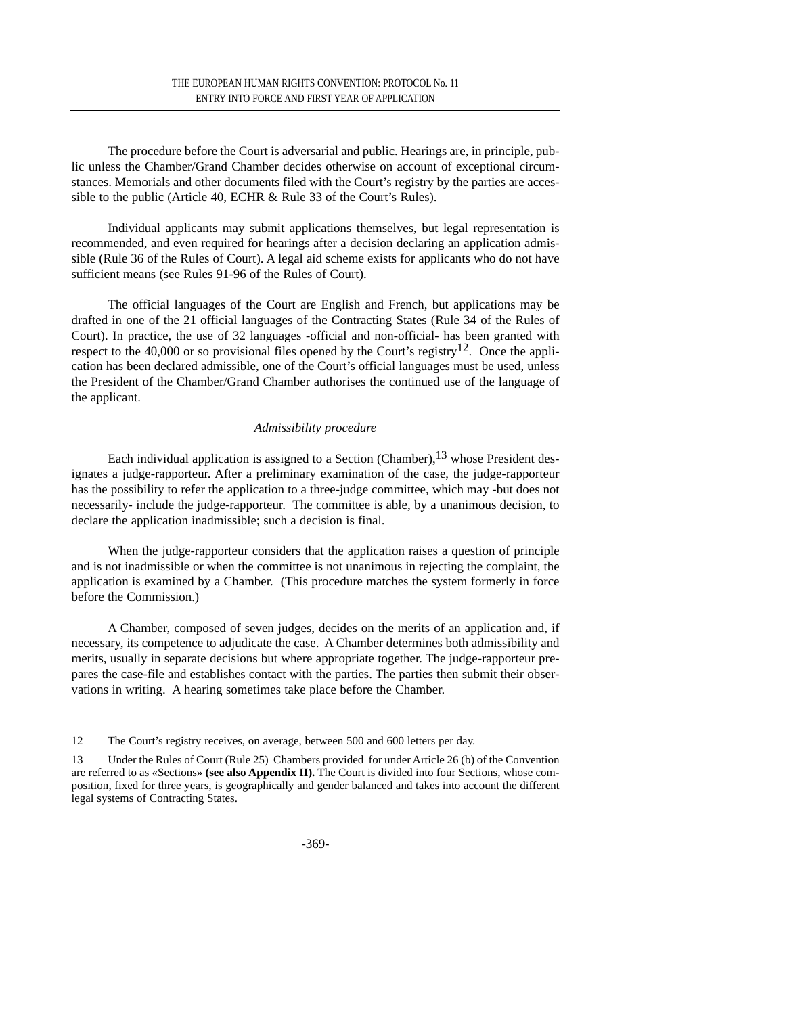The procedure before the Court is adversarial and public. Hearings are, in principle, public unless the Chamber/Grand Chamber decides otherwise on account of exceptional circumstances. Memorials and other documents filed with the Court's registry by the parties are accessible to the public (Article 40, ECHR & Rule 33 of the Court's Rules).

Individual applicants may submit applications themselves, but legal representation is recommended, and even required for hearings after a decision declaring an application admissible (Rule 36 of the Rules of Court). A legal aid scheme exists for applicants who do not have sufficient means (see Rules 91-96 of the Rules of Court).

The official languages of the Court are English and French, but applications may be drafted in one of the 21 official languages of the Contracting States (Rule 34 of the Rules of Court). In practice, the use of 32 languages -official and non-official- has been granted with respect to the 40,000 or so provisional files opened by the Court's registry<sup>12</sup>. Once the application has been declared admissible, one of the Court's official languages must be used, unless the President of the Chamber/Grand Chamber authorises the continued use of the language of the applicant.

# *Admissibility procedure*

Each individual application is assigned to a Section (Chamber),  $13$  whose President designates a judge-rapporteur. After a preliminary examination of the case, the judge-rapporteur has the possibility to refer the application to a three-judge committee, which may -but does not necessarily- include the judge-rapporteur. The committee is able, by a unanimous decision, to declare the application inadmissible; such a decision is final.

When the judge-rapporteur considers that the application raises a question of principle and is not inadmissible or when the committee is not unanimous in rejecting the complaint, the application is examined by a Chamber. (This procedure matches the system formerly in force before the Commission.)

A Chamber, composed of seven judges, decides on the merits of an application and, if necessary, its competence to adjudicate the case. A Chamber determines both admissibility and merits, usually in separate decisions but where appropriate together. The judge-rapporteur prepares the case-file and establishes contact with the parties. The parties then submit their observations in writing. A hearing sometimes take place before the Chamber.

<sup>12</sup> The Court's registry receives, on average, between 500 and 600 letters per day.

<sup>13</sup> Under the Rules of Court (Rule 25) Chambers provided for under Article 26 (b) of the Convention are referred to as «Sections» **(see also Appendix II).** The Court is divided into four Sections, whose composition, fixed for three years, is geographically and gender balanced and takes into account the different legal systems of Contracting States.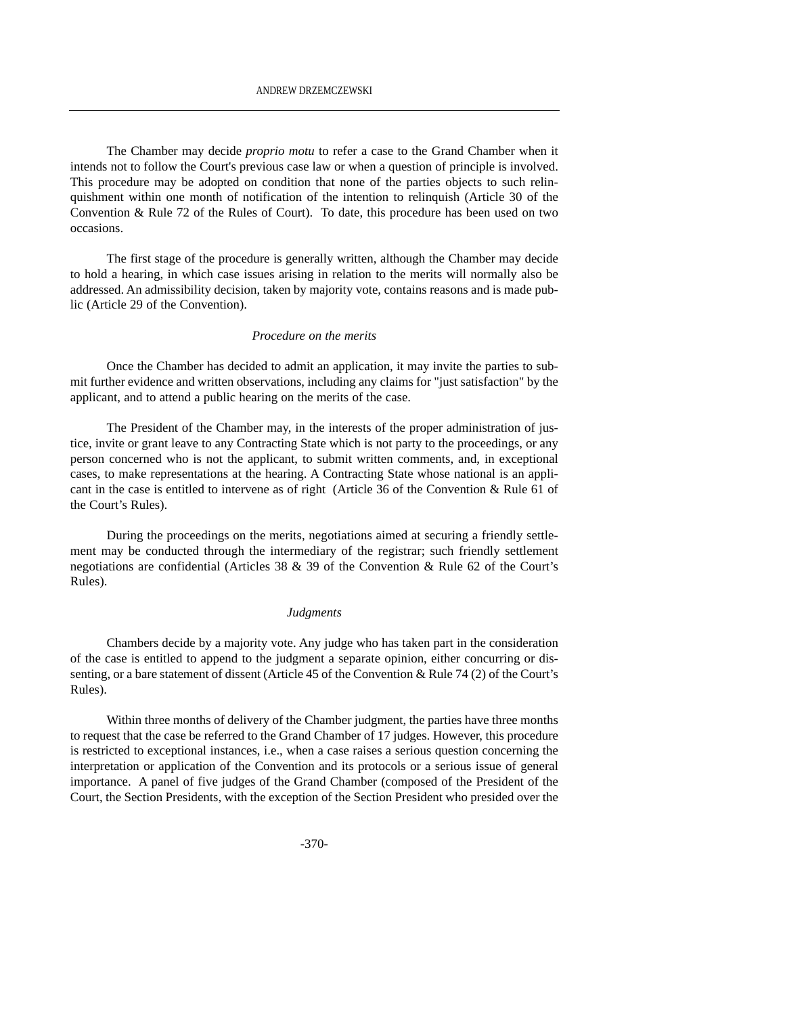The Chamber may decide *proprio motu* to refer a case to the Grand Chamber when it intends not to follow the Court's previous case law or when a question of principle is involved. This procedure may be adopted on condition that none of the parties objects to such relinquishment within one month of notification of the intention to relinquish (Article 30 of the Convention  $\&$  Rule 72 of the Rules of Court). To date, this procedure has been used on two occasions.

The first stage of the procedure is generally written, although the Chamber may decide to hold a hearing, in which case issues arising in relation to the merits will normally also be addressed. An admissibility decision, taken by majority vote, contains reasons and is made public (Article 29 of the Convention).

#### *Procedure on the merits*

Once the Chamber has decided to admit an application, it may invite the parties to submit further evidence and written observations, including any claims for "just satisfaction" by the applicant, and to attend a public hearing on the merits of the case.

The President of the Chamber may, in the interests of the proper administration of justice, invite or grant leave to any Contracting State which is not party to the proceedings, or any person concerned who is not the applicant, to submit written comments, and, in exceptional cases, to make representations at the hearing. A Contracting State whose national is an applicant in the case is entitled to intervene as of right (Article 36 of the Convention & Rule 61 of the Court's Rules).

During the proceedings on the merits, negotiations aimed at securing a friendly settlement may be conducted through the intermediary of the registrar; such friendly settlement negotiations are confidential (Articles 38 & 39 of the Convention & Rule 62 of the Court's Rules).

#### *Judgments*

Chambers decide by a majority vote. Any judge who has taken part in the consideration of the case is entitled to append to the judgment a separate opinion, either concurring or dissenting, or a bare statement of dissent (Article 45 of the Convention & Rule 74 (2) of the Court's Rules).

Within three months of delivery of the Chamber judgment, the parties have three months to request that the case be referred to the Grand Chamber of 17 judges. However, this procedure is restricted to exceptional instances, i.e., when a case raises a serious question concerning the interpretation or application of the Convention and its protocols or a serious issue of general importance. A panel of five judges of the Grand Chamber (composed of the President of the Court, the Section Presidents, with the exception of the Section President who presided over the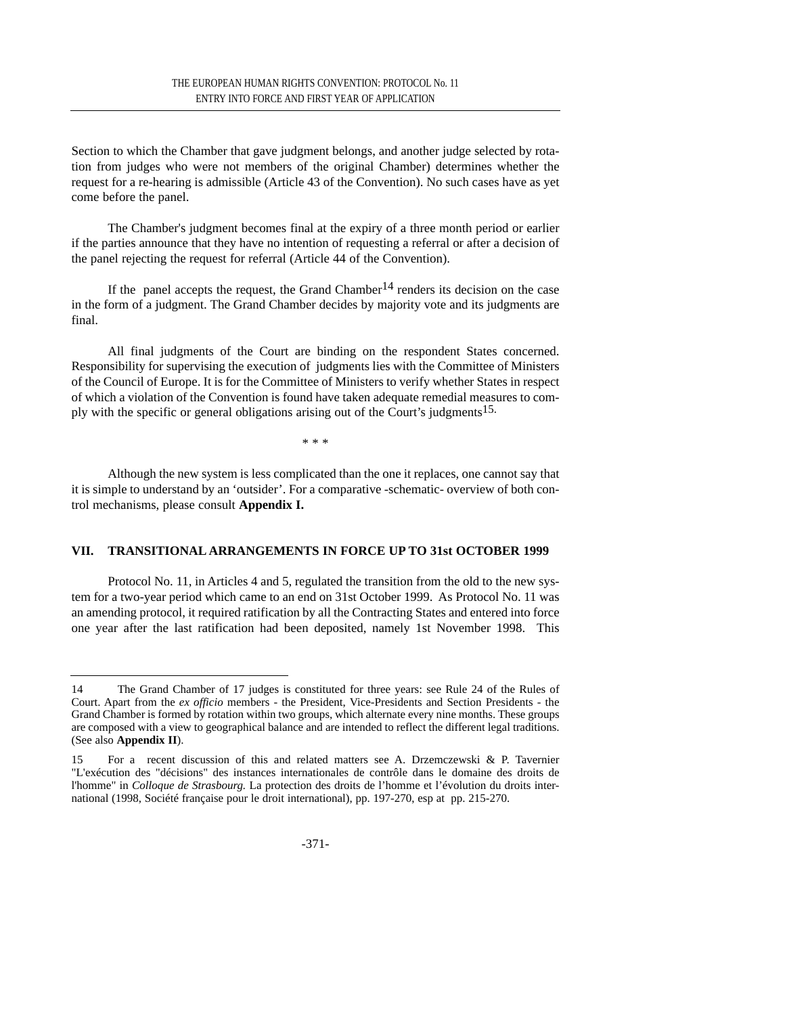Section to which the Chamber that gave judgment belongs, and another judge selected by rotation from judges who were not members of the original Chamber) determines whether the request for a re-hearing is admissible (Article 43 of the Convention). No such cases have as yet come before the panel.

The Chamber's judgment becomes final at the expiry of a three month period or earlier if the parties announce that they have no intention of requesting a referral or after a decision of the panel rejecting the request for referral (Article 44 of the Convention).

If the panel accepts the request, the Grand Chamber<sup>14</sup> renders its decision on the case in the form of a judgment. The Grand Chamber decides by majority vote and its judgments are final.

All final judgments of the Court are binding on the respondent States concerned. Responsibility for supervising the execution of judgments lies with the Committee of Ministers of the Council of Europe. It is for the Committee of Ministers to verify whether States in respect of which a violation of the Convention is found have taken adequate remedial measures to comply with the specific or general obligations arising out of the Court's judgments<sup>15.</sup>

\* \* \*

Although the new system is less complicated than the one it replaces, one cannot say that it is simple to understand by an 'outsider'. For a comparative -schematic- overview of both control mechanisms, please consult **Appendix I.**

# **VII. TRANSITIONAL ARRANGEMENTS IN FORCE UP TO 31st OCTOBER 1999**

Protocol No. 11, in Articles 4 and 5, regulated the transition from the old to the new system for a two-year period which came to an end on 31st October 1999. As Protocol No. 11 was an amending protocol, it required ratification by all the Contracting States and entered into force one year after the last ratification had been deposited, namely 1st November 1998. This

<sup>14</sup> The Grand Chamber of 17 judges is constituted for three years: see Rule 24 of the Rules of Court. Apart from the *ex officio* members - the President, Vice-Presidents and Section Presidents - the Grand Chamber is formed by rotation within two groups, which alternate every nine months. These groups are composed with a view to geographical balance and are intended to reflect the different legal traditions. (See also **Appendix II**).

<sup>15</sup> For a recent discussion of this and related matters see A. Drzemczewski & P. Tavernier "L'exécution des "décisions" des instances internationales de contrôle dans le domaine des droits de l'homme" in *Colloque de Strasbourg.* La protection des droits de l'homme et l'évolution du droits international (1998, Société française pour le droit international), pp. 197-270, esp at pp. 215-270.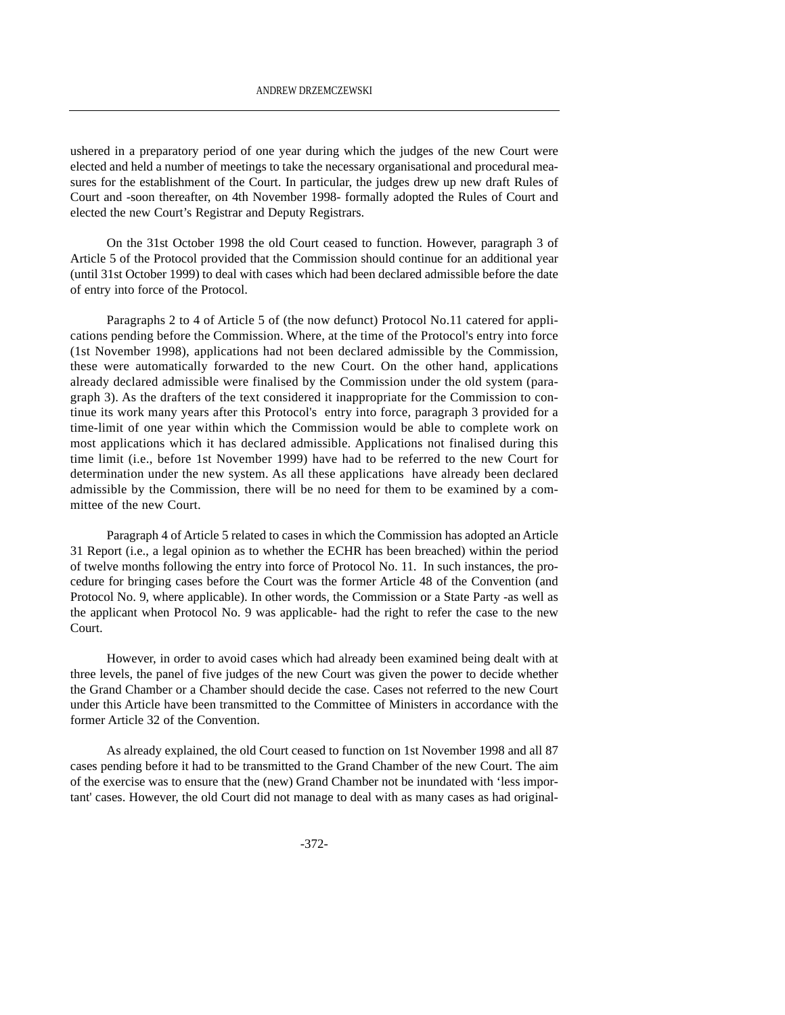ushered in a preparatory period of one year during which the judges of the new Court were elected and held a number of meetings to take the necessary organisational and procedural measures for the establishment of the Court. In particular, the judges drew up new draft Rules of Court and -soon thereafter, on 4th November 1998- formally adopted the Rules of Court and elected the new Court's Registrar and Deputy Registrars.

On the 31st October 1998 the old Court ceased to function. However, paragraph 3 of Article 5 of the Protocol provided that the Commission should continue for an additional year (until 31st October 1999) to deal with cases which had been declared admissible before the date of entry into force of the Protocol.

Paragraphs 2 to 4 of Article 5 of (the now defunct) Protocol No.11 catered for applications pending before the Commission. Where, at the time of the Protocol's entry into force (1st November 1998), applications had not been declared admissible by the Commission, these were automatically forwarded to the new Court. On the other hand, applications already declared admissible were finalised by the Commission under the old system (paragraph 3). As the drafters of the text considered it inappropriate for the Commission to continue its work many years after this Protocol's entry into force, paragraph 3 provided for a time-limit of one year within which the Commission would be able to complete work on most applications which it has declared admissible. Applications not finalised during this time limit (i.e., before 1st November 1999) have had to be referred to the new Court for determination under the new system. As all these applications have already been declared admissible by the Commission, there will be no need for them to be examined by a committee of the new Court.

Paragraph 4 of Article 5 related to cases in which the Commission has adopted an Article 31 Report (i.e., a legal opinion as to whether the ECHR has been breached) within the period of twelve months following the entry into force of Protocol No. 11. In such instances, the procedure for bringing cases before the Court was the former Article 48 of the Convention (and Protocol No. 9, where applicable). In other words, the Commission or a State Party -as well as the applicant when Protocol No. 9 was applicable- had the right to refer the case to the new Court.

However, in order to avoid cases which had already been examined being dealt with at three levels, the panel of five judges of the new Court was given the power to decide whether the Grand Chamber or a Chamber should decide the case. Cases not referred to the new Court under this Article have been transmitted to the Committee of Ministers in accordance with the former Article 32 of the Convention.

As already explained, the old Court ceased to function on 1st November 1998 and all 87 cases pending before it had to be transmitted to the Grand Chamber of the new Court. The aim of the exercise was to ensure that the (new) Grand Chamber not be inundated with 'less important' cases. However, the old Court did not manage to deal with as many cases as had original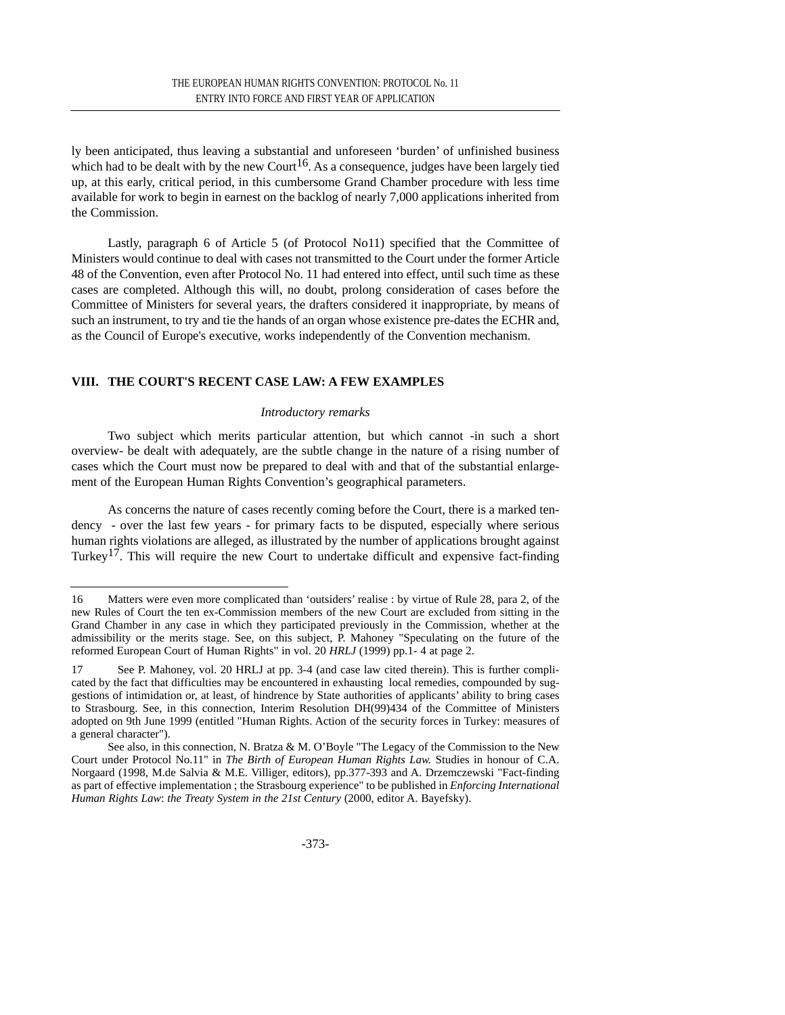ly been anticipated, thus leaving a substantial and unforeseen 'burden' of unfinished business which had to be dealt with by the new Court<sup>16</sup>. As a consequence, judges have been largely tied up, at this early, critical period, in this cumbersome Grand Chamber procedure with less time available for work to begin in earnest on the backlog of nearly 7,000 applications inherited from the Commission.

Lastly, paragraph 6 of Article 5 (of Protocol No11) specified that the Committee of Ministers would continue to deal with cases not transmitted to the Court under the former Article 48 of the Convention, even after Protocol No. 11 had entered into effect, until such time as these cases are completed. Although this will, no doubt, prolong consideration of cases before the Committee of Ministers for several years, the drafters considered it inappropriate, by means of such an instrument, to try and tie the hands of an organ whose existence pre-dates the ECHR and, as the Council of Europe's executive, works independently of the Convention mechanism.

# **VIII. THE COURT'S RECENT CASE LAW: A FEW EXAMPLES**

#### *Introductory remarks*

Two subject which merits particular attention, but which cannot -in such a short overview- be dealt with adequately, are the subtle change in the nature of a rising number of cases which the Court must now be prepared to deal with and that of the substantial enlargement of the European Human Rights Convention's geographical parameters.

As concerns the nature of cases recently coming before the Court, there is a marked tendency - over the last few years - for primary facts to be disputed, especially where serious human rights violations are alleged, as illustrated by the number of applications brought against Turkey<sup>17</sup>. This will require the new Court to undertake difficult and expensive fact-finding

<sup>16</sup> Matters were even more complicated than 'outsiders' realise : by virtue of Rule 28, para 2, of the new Rules of Court the ten ex-Commission members of the new Court are excluded from sitting in the Grand Chamber in any case in which they participated previously in the Commission, whether at the admissibility or the merits stage. See, on this subject, P. Mahoney "Speculating on the future of the reformed European Court of Human Rights" in vol. 20 *HRLJ* (1999) pp.1- 4 at page 2.

<sup>17</sup> See P. Mahoney, vol. 20 HRLJ at pp. 3-4 (and case law cited therein). This is further complicated by the fact that difficulties may be encountered in exhausting local remedies, compounded by suggestions of intimidation or, at least, of hindrence by State authorities of applicants' ability to bring cases to Strasbourg. See, in this connection, Interim Resolution DH(99)434 of the Committee of Ministers adopted on 9th June 1999 (entitled "Human Rights. Action of the security forces in Turkey: measures of a general character").

See also, in this connection, N. Bratza & M. O'Boyle "The Legacy of the Commission to the New Court under Protocol No.11" in *The Birth of European Human Rights Law.* Studies in honour of C.A. Norgaard (1998, M.de Salvia & M.E. Villiger, editors), pp.377-393 and A. Drzemczewski "Fact-finding as part of effective implementation ; the Strasbourg experience" to be published in *Enforcing International Human Rights Law*: *the Treaty System in the 21st Century* (2000, editor A. Bayefsky).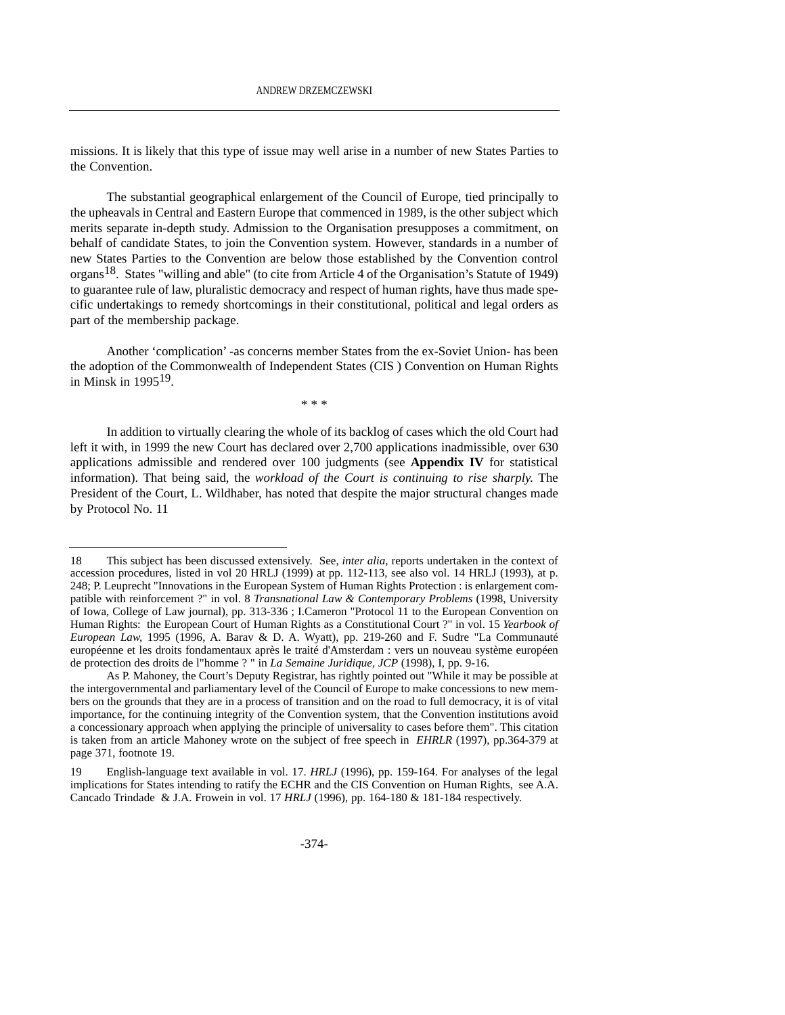missions. It is likely that this type of issue may well arise in a number of new States Parties to the Convention.

The substantial geographical enlargement of the Council of Europe, tied principally to the upheavals in Central and Eastern Europe that commenced in 1989, is the other subject which merits separate in-depth study. Admission to the Organisation presupposes a commitment, on behalf of candidate States, to join the Convention system. However, standards in a number of new States Parties to the Convention are below those established by the Convention control organs<sup>18</sup>. States "willing and able" (to cite from Article 4 of the Organisation's Statute of 1949) to guarantee rule of law, pluralistic democracy and respect of human rights, have thus made specific undertakings to remedy shortcomings in their constitutional, political and legal orders as part of the membership package.

Another 'complication' -as concerns member States from the ex-Soviet Union- has been the adoption of the Commonwealth of Independent States (CIS ) Convention on Human Rights in Minsk in 199519.

\* \* \*

In addition to virtually clearing the whole of its backlog of cases which the old Court had left it with, in 1999 the new Court has declared over 2,700 applications inadmissible, over 630 applications admissible and rendered over 100 judgments (see **Appendix IV** for statistical information). That being said, the *workload of the Court is continuing to rise sharply.* The President of the Court, L. Wildhaber, has noted that despite the major structural changes made by Protocol No. 11

<sup>18</sup> This subject has been discussed extensively. See, *inter alia*, reports undertaken in the context of accession procedures, listed in vol 20 HRLJ (1999) at pp. 112-113, see also vol. 14 HRLJ (1993), at p. 248; P. Leuprecht "Innovations in the European System of Human Rights Protection : is enlargement compatible with reinforcement ?" in vol. 8 *Transnational Law & Contemporary Problems* (1998, University of Iowa, College of Law journal), pp. 313-336 ; I.Cameron "Protocol 11 to the European Convention on Human Rights: the European Court of Human Rights as a Constitutional Court ?" in vol. 15 *Yearbook of European Law,* 1995 (1996, A. Barav & D. A. Wyatt), pp. 219-260 and F. Sudre "La Communauté européenne et les droits fondamentaux après le traité d'Amsterdam : vers un nouveau système européen de protection des droits de l"homme ? " in *La Semaine Juridique, JCP* (1998), I, pp. 9-16.

As P. Mahoney, the Court's Deputy Registrar, has rightly pointed out "While it may be possible at the intergovernmental and parliamentary level of the Council of Europe to make concessions to new members on the grounds that they are in a process of transition and on the road to full democracy, it is of vital importance, for the continuing integrity of the Convention system, that the Convention institutions avoid a concessionary approach when applying the principle of universality to cases before them". This citation is taken from an article Mahoney wrote on the subject of free speech in *EHRLR* (1997), pp.364-379 at page 371, footnote 19.

<sup>19</sup> English-language text available in vol. 17. *HRLJ* (1996), pp. 159-164. For analyses of the legal implications for States intending to ratify the ECHR and the CIS Convention on Human Rights, see A.A. Cancado Trindade & J.A. Frowein in vol. 17 *HRLJ* (1996), pp. 164-180 & 181-184 respectively.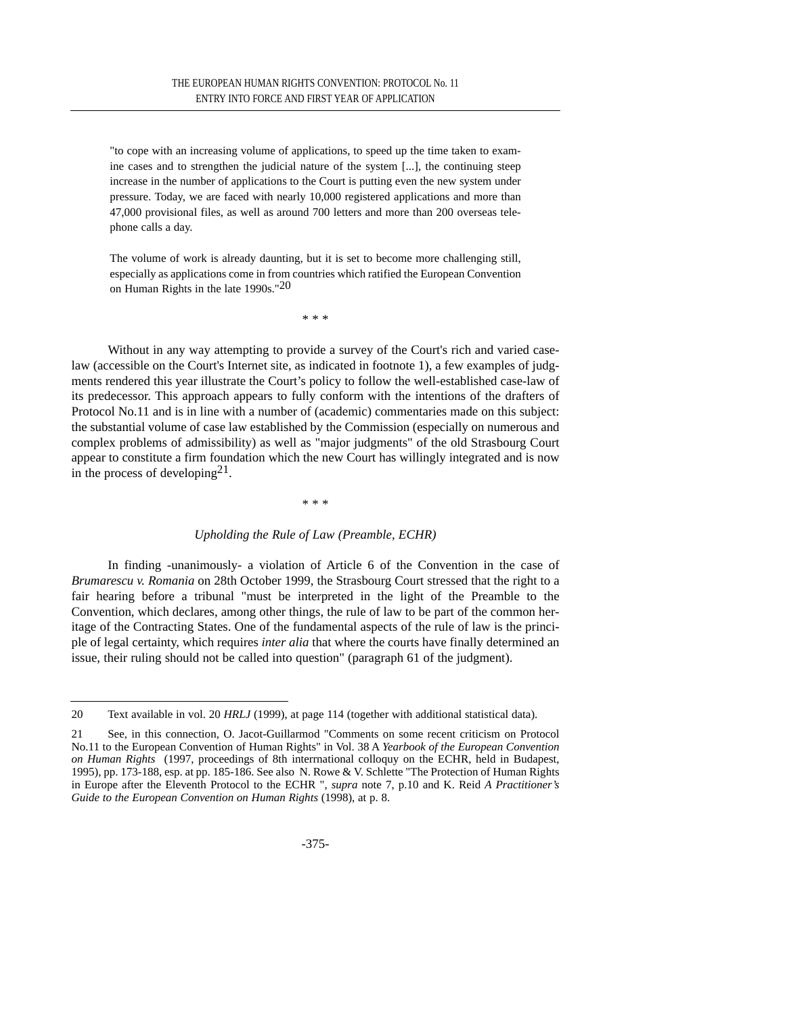"to cope with an increasing volume of applications, to speed up the time taken to examine cases and to strengthen the judicial nature of the system [...], the continuing steep increase in the number of applications to the Court is putting even the new system under pressure. Today, we are faced with nearly 10,000 registered applications and more than 47,000 provisional files, as well as around 700 letters and more than 200 overseas telephone calls a day.

The volume of work is already daunting, but it is set to become more challenging still, especially as applications come in from countries which ratified the European Convention on Human Rights in the late 1990s."20

\* \* \*

Without in any way attempting to provide a survey of the Court's rich and varied caselaw (accessible on the Court's Internet site, as indicated in footnote 1), a few examples of judgments rendered this year illustrate the Court's policy to follow the well-established case-law of its predecessor. This approach appears to fully conform with the intentions of the drafters of Protocol No.11 and is in line with a number of (academic) commentaries made on this subject: the substantial volume of case law established by the Commission (especially on numerous and complex problems of admissibility) as well as "major judgments" of the old Strasbourg Court appear to constitute a firm foundation which the new Court has willingly integrated and is now in the process of developing  $2<sup>1</sup>$ .

\* \* \*

#### *Upholding the Rule of Law (Preamble, ECHR)*

In finding -unanimously- a violation of Article 6 of the Convention in the case of *Brumarescu v. Romania* on 28th October 1999, the Strasbourg Court stressed that the right to a fair hearing before a tribunal "must be interpreted in the light of the Preamble to the Convention, which declares, among other things, the rule of law to be part of the common heritage of the Contracting States. One of the fundamental aspects of the rule of law is the principle of legal certainty, which requires *inter alia* that where the courts have finally determined an issue, their ruling should not be called into question" (paragraph 61 of the judgment).

<sup>20</sup> Text available in vol. 20 *HRLJ* (1999), at page 114 (together with additional statistical data).

<sup>21</sup> See, in this connection, O. Jacot-Guillarmod "Comments on some recent criticism on Protocol No.11 to the European Convention of Human Rights" in Vol. 38 A *Yearbook of the European Convention on Human Rights* (1997, proceedings of 8th interrnational colloquy on the ECHR, held in Budapest, 1995), pp. 173-188, esp. at pp. 185-186. See also N. Rowe & V. Schlette "The Protection of Human Rights in Europe after the Eleventh Protocol to the ECHR ", *supra* note 7, p.10 and K. Reid *A Practitioner's Guide to the European Convention on Human Rights* (1998), at p. 8.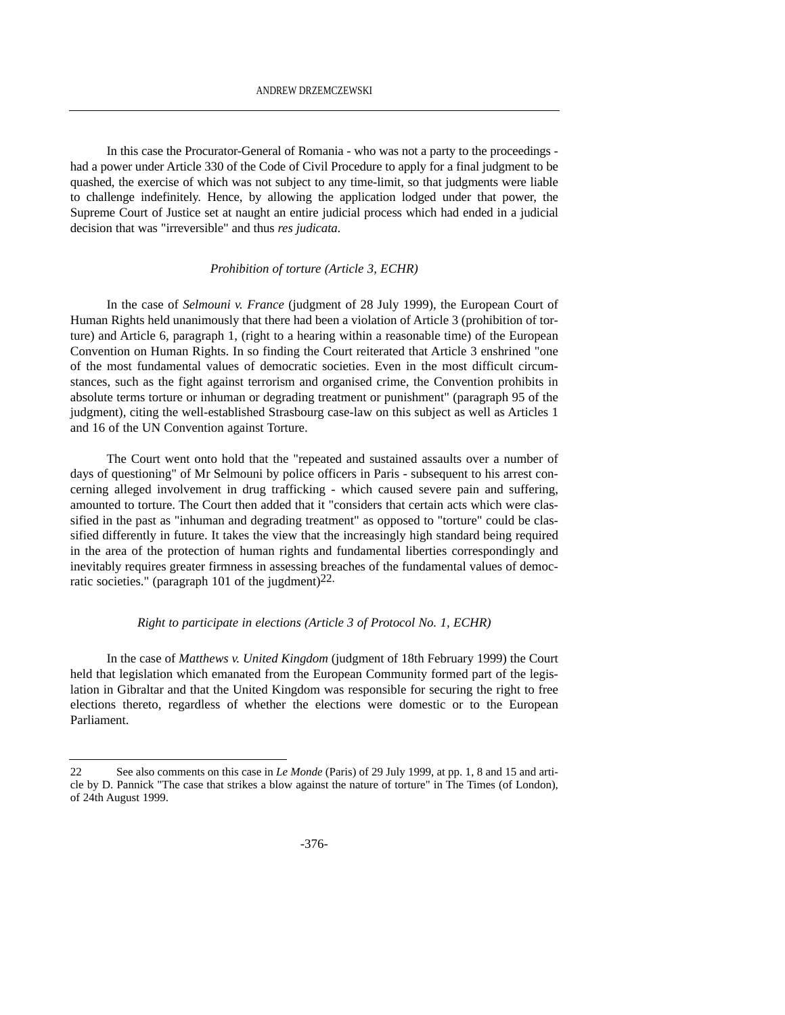In this case the Procurator-General of Romania - who was not a party to the proceedings had a power under Article 330 of the Code of Civil Procedure to apply for a final judgment to be quashed, the exercise of which was not subject to any time-limit, so that judgments were liable to challenge indefinitely. Hence, by allowing the application lodged under that power, the Supreme Court of Justice set at naught an entire judicial process which had ended in a judicial decision that was "irreversible" and thus *res judicata*.

#### *Prohibition of torture (Article 3, ECHR)*

In the case of *Selmouni v. France* (judgment of 28 July 1999), the European Court of Human Rights held unanimously that there had been a violation of Article 3 (prohibition of torture) and Article 6, paragraph 1, (right to a hearing within a reasonable time) of the European Convention on Human Rights. In so finding the Court reiterated that Article 3 enshrined "one of the most fundamental values of democratic societies. Even in the most difficult circumstances, such as the fight against terrorism and organised crime, the Convention prohibits in absolute terms torture or inhuman or degrading treatment or punishment" (paragraph 95 of the judgment), citing the well-established Strasbourg case-law on this subject as well as Articles 1 and 16 of the UN Convention against Torture.

The Court went onto hold that the "repeated and sustained assaults over a number of days of questioning" of Mr Selmouni by police officers in Paris - subsequent to his arrest concerning alleged involvement in drug trafficking - which caused severe pain and suffering, amounted to torture. The Court then added that it "considers that certain acts which were classified in the past as "inhuman and degrading treatment" as opposed to "torture" could be classified differently in future. It takes the view that the increasingly high standard being required in the area of the protection of human rights and fundamental liberties correspondingly and inevitably requires greater firmness in assessing breaches of the fundamental values of democratic societies." (paragraph 101 of the jugdment) $22$ .

#### *Right to participate in elections (Article 3 of Protocol No. 1, ECHR)*

In the case of *Matthews v. United Kingdom* (judgment of 18th February 1999) the Court held that legislation which emanated from the European Community formed part of the legislation in Gibraltar and that the United Kingdom was responsible for securing the right to free elections thereto, regardless of whether the elections were domestic or to the European Parliament.

<sup>22</sup> See also comments on this case in *Le Monde* (Paris) of 29 July 1999, at pp. 1, 8 and 15 and article by D. Pannick "The case that strikes a blow against the nature of torture" in The Times (of London), of 24th August 1999.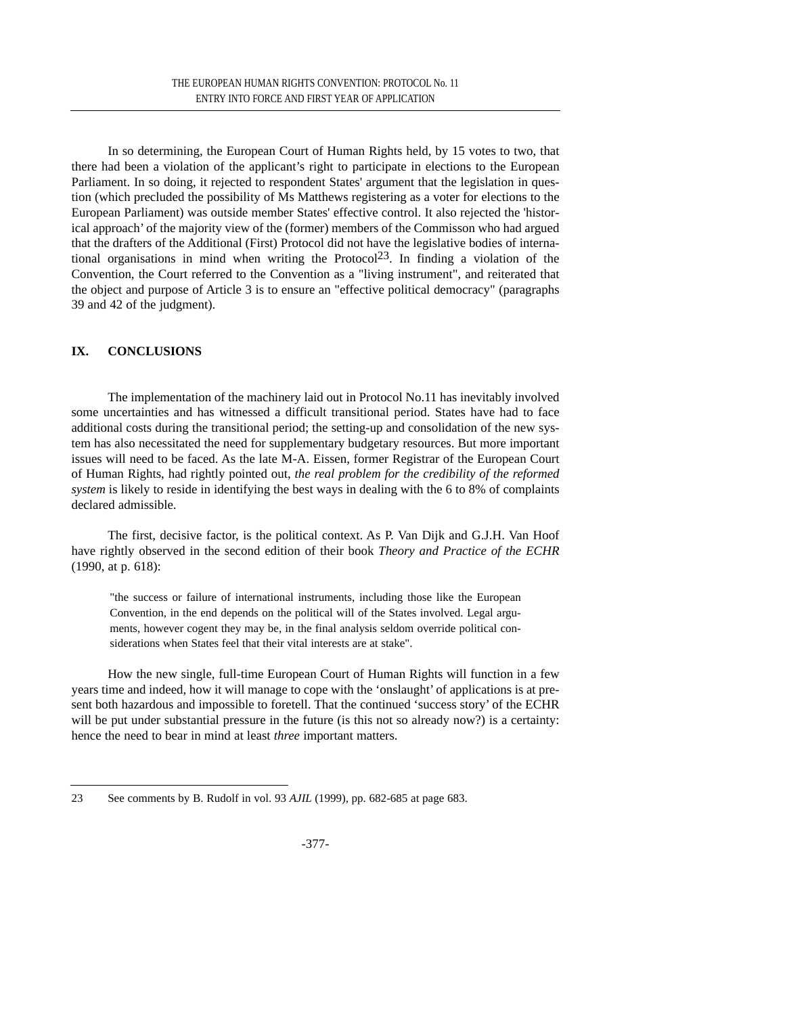In so determining, the European Court of Human Rights held, by 15 votes to two, that there had been a violation of the applicant's right to participate in elections to the European Parliament. In so doing, it rejected to respondent States' argument that the legislation in question (which precluded the possibility of Ms Matthews registering as a voter for elections to the European Parliament) was outside member States' effective control. It also rejected the 'historical approach' of the majority view of the (former) members of the Commisson who had argued that the drafters of the Additional (First) Protocol did not have the legislative bodies of international organisations in mind when writing the Protocol<sup>23</sup>. In finding a violation of the Convention, the Court referred to the Convention as a "living instrument", and reiterated that the object and purpose of Article 3 is to ensure an "effective political democracy" (paragraphs 39 and 42 of the judgment).

# **IX. CONCLUSIONS**

The implementation of the machinery laid out in Protocol No.11 has inevitably involved some uncertainties and has witnessed a difficult transitional period. States have had to face additional costs during the transitional period; the setting-up and consolidation of the new system has also necessitated the need for supplementary budgetary resources. But more important issues will need to be faced. As the late M-A. Eissen, former Registrar of the European Court of Human Rights, had rightly pointed out, *the real problem for the credibility of the reformed system* is likely to reside in identifying the best ways in dealing with the 6 to 8% of complaints declared admissible.

The first, decisive factor, is the political context. As P. Van Dijk and G.J.H. Van Hoof have rightly observed in the second edition of their book *Theory and Practice of the ECHR* (1990, at p. 618):

"the success or failure of international instruments, including those like the European Convention, in the end depends on the political will of the States involved. Legal arguments, however cogent they may be, in the final analysis seldom override political considerations when States feel that their vital interests are at stake".

How the new single, full-time European Court of Human Rights will function in a few years time and indeed, how it will manage to cope with the 'onslaught' of applications is at present both hazardous and impossible to foretell. That the continued 'success story' of the ECHR will be put under substantial pressure in the future (is this not so already now?) is a certainty: hence the need to bear in mind at least *three* important matters.

<sup>23</sup> See comments by B. Rudolf in vol. 93 *AJIL* (1999), pp. 682-685 at page 683.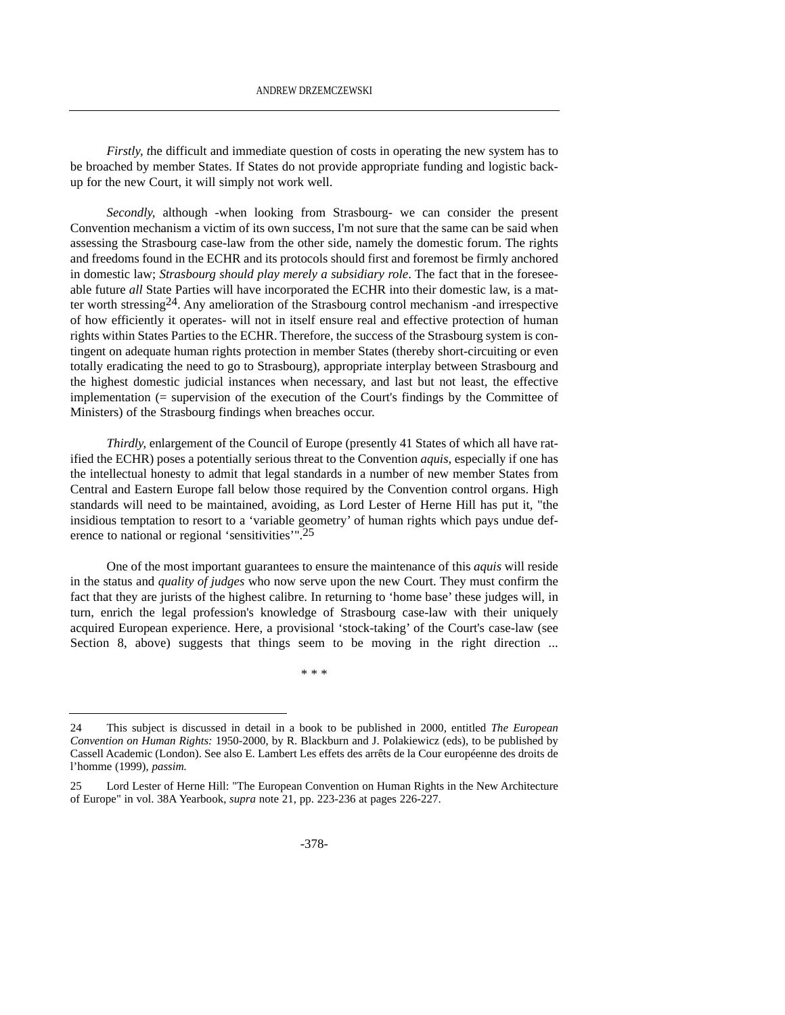*Firstly, t*he difficult and immediate question of costs in operating the new system has to be broached by member States. If States do not provide appropriate funding and logistic backup for the new Court, it will simply not work well.

*Secondly,* although -when looking from Strasbourg- we can consider the present Convention mechanism a victim of its own success, I'm not sure that the same can be said when assessing the Strasbourg case-law from the other side, namely the domestic forum. The rights and freedoms found in the ECHR and its protocols should first and foremost be firmly anchored in domestic law; *Strasbourg should play merely a subsidiary role*. The fact that in the foreseeable future *all* State Parties will have incorporated the ECHR into their domestic law, is a matter worth stressing24. Any amelioration of the Strasbourg control mechanism -and irrespective of how efficiently it operates- will not in itself ensure real and effective protection of human rights within States Parties to the ECHR. Therefore, the success of the Strasbourg system is contingent on adequate human rights protection in member States (thereby short-circuiting or even totally eradicating the need to go to Strasbourg), appropriate interplay between Strasbourg and the highest domestic judicial instances when necessary, and last but not least, the effective implementation (= supervision of the execution of the Court's findings by the Committee of Ministers) of the Strasbourg findings when breaches occur.

*Thirdly,* enlargement of the Council of Europe (presently 41 States of which all have ratified the ECHR) poses a potentially serious threat to the Convention *aquis,* especially if one has the intellectual honesty to admit that legal standards in a number of new member States from Central and Eastern Europe fall below those required by the Convention control organs. High standards will need to be maintained, avoiding, as Lord Lester of Herne Hill has put it, "the insidious temptation to resort to a 'variable geometry' of human rights which pays undue deference to national or regional 'sensitivities'".<sup>25</sup>

One of the most important guarantees to ensure the maintenance of this *aquis* will reside in the status and *quality of judges* who now serve upon the new Court. They must confirm the fact that they are jurists of the highest calibre. In returning to 'home base' these judges will, in turn, enrich the legal profession's knowledge of Strasbourg case-law with their uniquely acquired European experience. Here, a provisional 'stock-taking' of the Court's case-law (see Section 8, above) suggests that things seem to be moving in the right direction ...

\* \* \*

<sup>24</sup> This subject is discussed in detail in a book to be published in 2000, entitled *The European Convention on Human Rights:* 1950-2000, by R. Blackburn and J. Polakiewicz (eds), to be published by Cassell Academic (London). See also E. Lambert Les effets des arrêts de la Cour européenne des droits de l'homme (1999), *passim.*

<sup>25</sup> Lord Lester of Herne Hill: "The European Convention on Human Rights in the New Architecture of Europe" in vol. 38A Yearbook, *supra* note 21, pp. 223-236 at pages 226-227.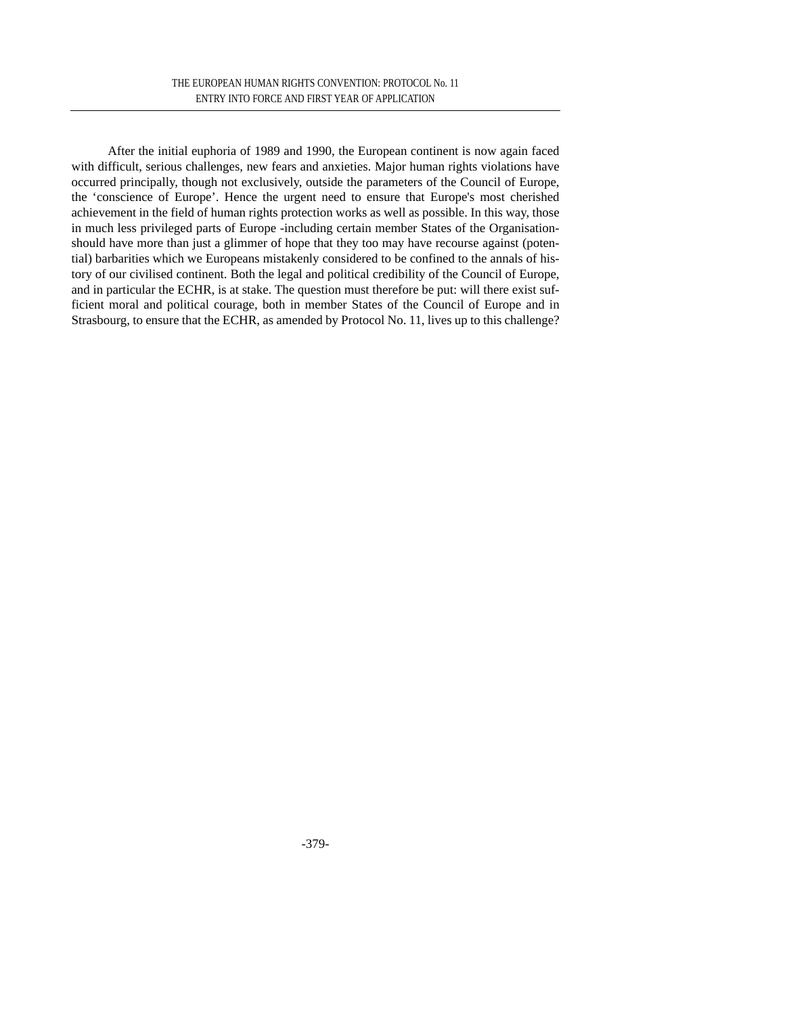After the initial euphoria of 1989 and 1990, the European continent is now again faced with difficult, serious challenges, new fears and anxieties. Major human rights violations have occurred principally, though not exclusively, outside the parameters of the Council of Europe, the 'conscience of Europe'. Hence the urgent need to ensure that Europe's most cherished achievement in the field of human rights protection works as well as possible. In this way, those in much less privileged parts of Europe -including certain member States of the Organisationshould have more than just a glimmer of hope that they too may have recourse against (potential) barbarities which we Europeans mistakenly considered to be confined to the annals of history of our civilised continent. Both the legal and political credibility of the Council of Europe, and in particular the ECHR, is at stake. The question must therefore be put: will there exist sufficient moral and political courage, both in member States of the Council of Europe and in Strasbourg, to ensure that the ECHR, as amended by Protocol No. 11, lives up to this challenge?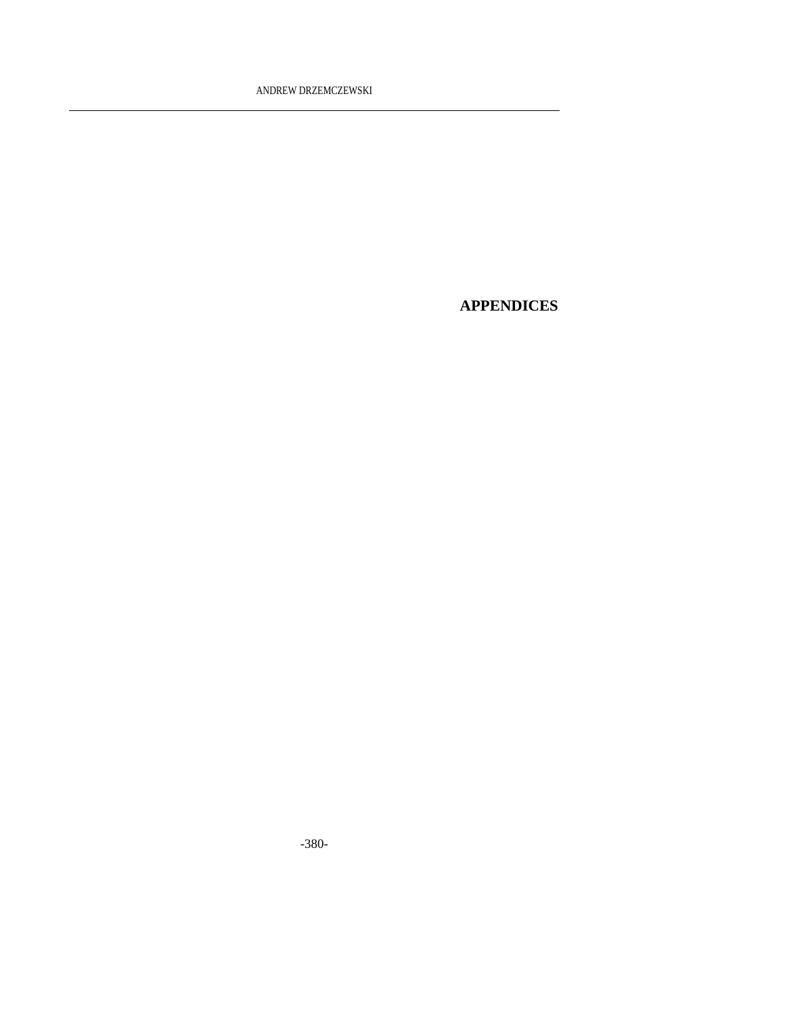# **APPENDICES**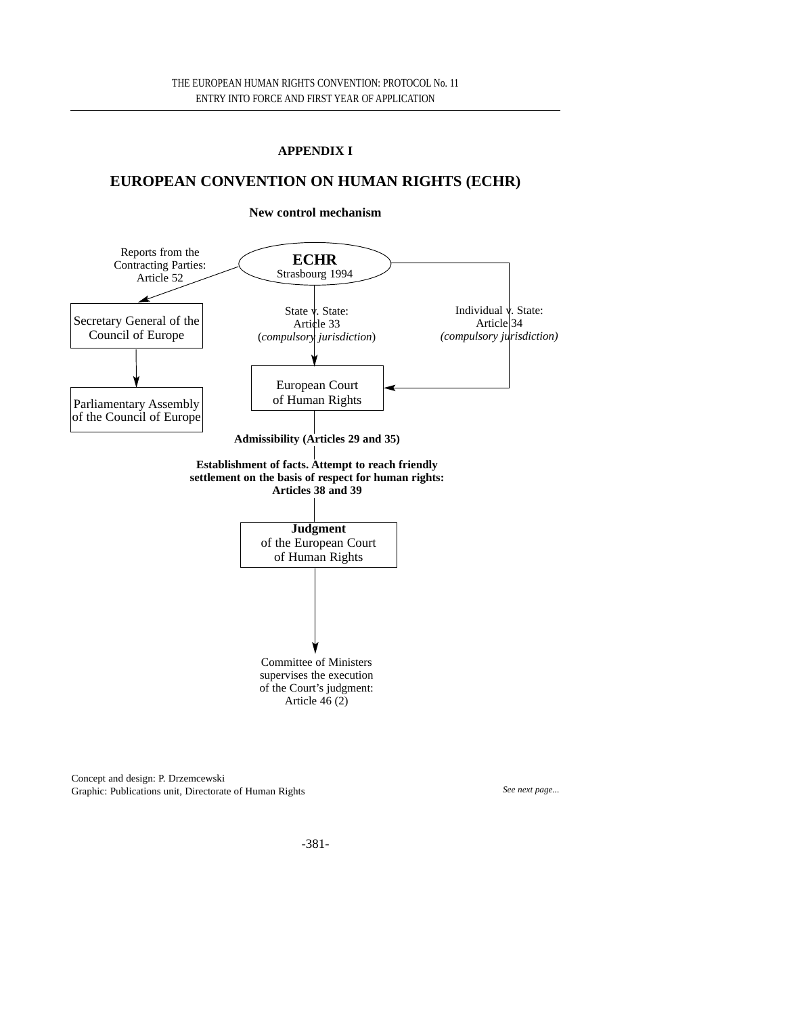# **APPENDIX I**

# **EUROPEAN CONVENTION ON HUMAN RIGHTS (ECHR)**

#### **New control mechanism**



Concept and design: P. Drzemcewski Graphic: Publications unit, Directorate of Human Rights *See next page... See next page...*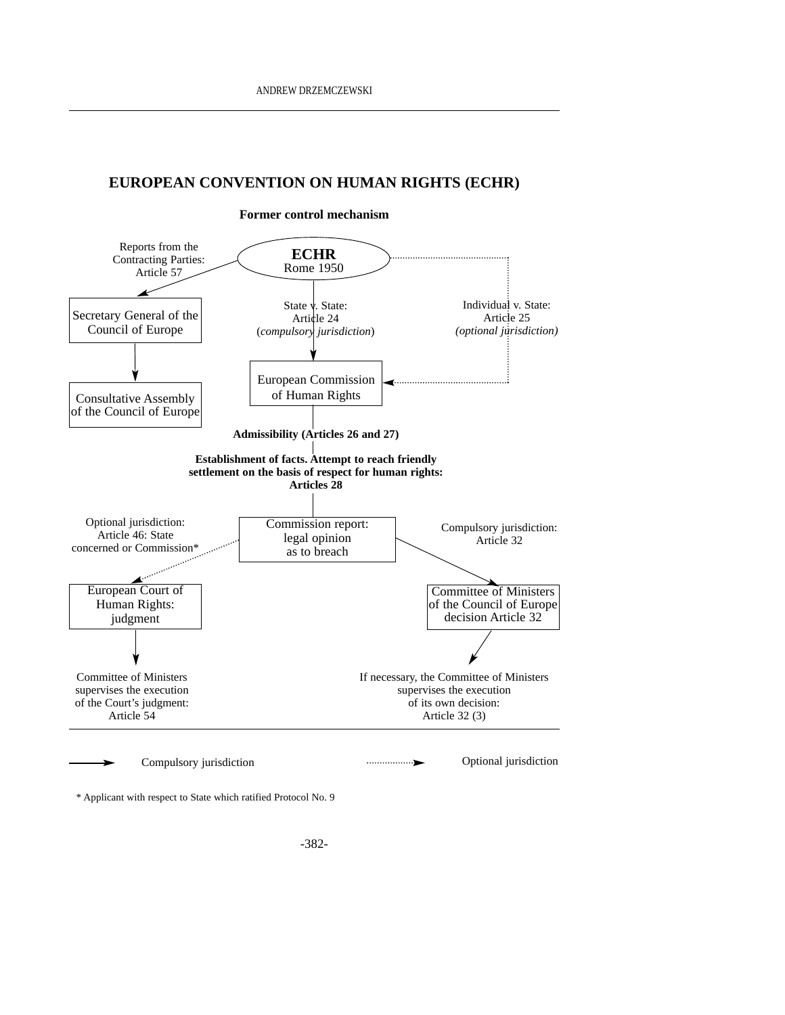# **EUROPEAN CONVENTION ON HUMAN RIGHTS (ECHR)**



**Former control mechanism**

\* Applicant with respect to State which ratified Protocol No. 9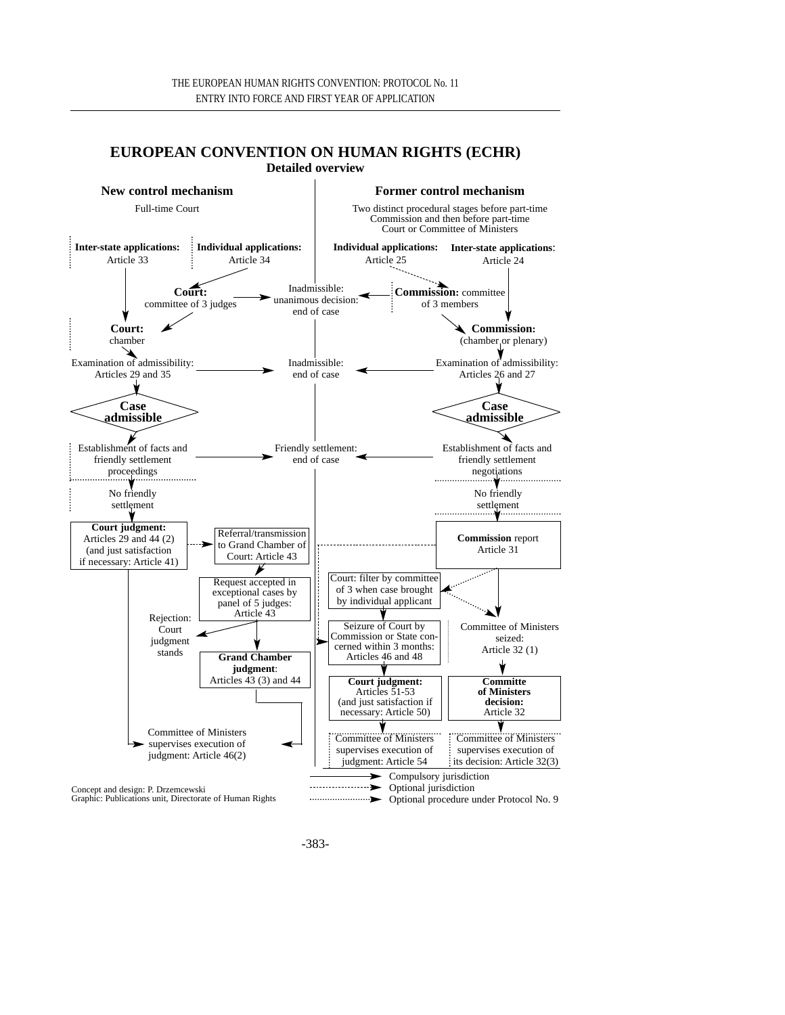#### **EUROPEAN CONVENTION ON HUMAN RIGHTS (ECHR) Detailed overview**

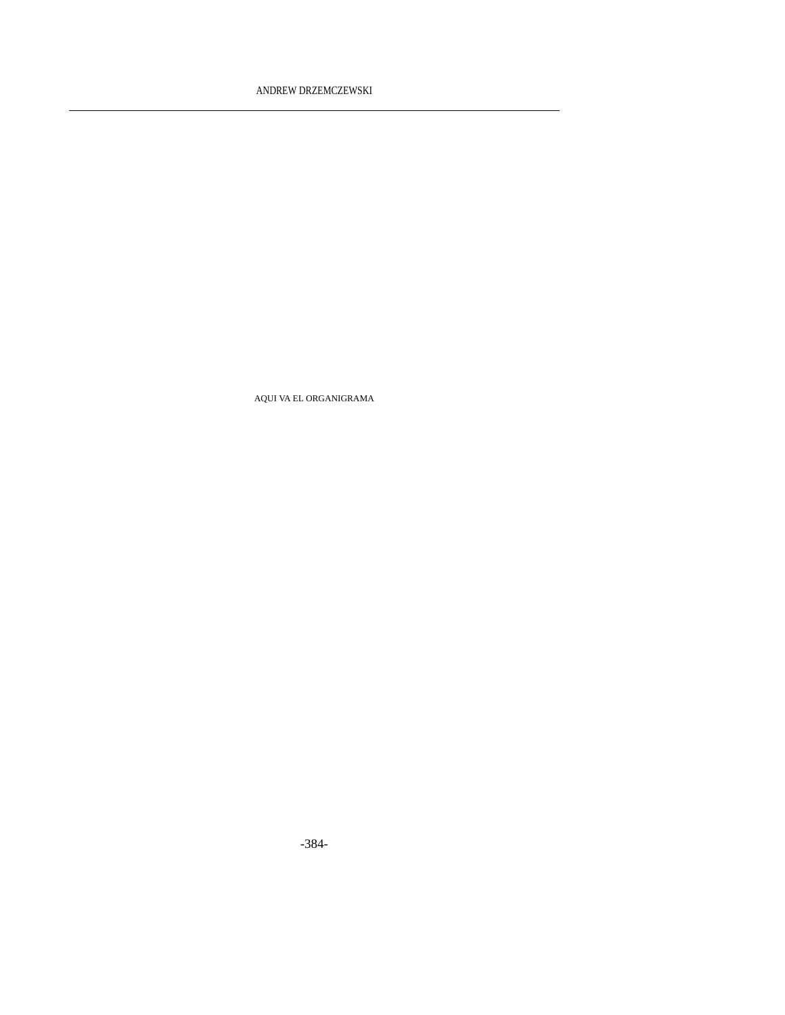AQUI VA EL ORGANIGRAMA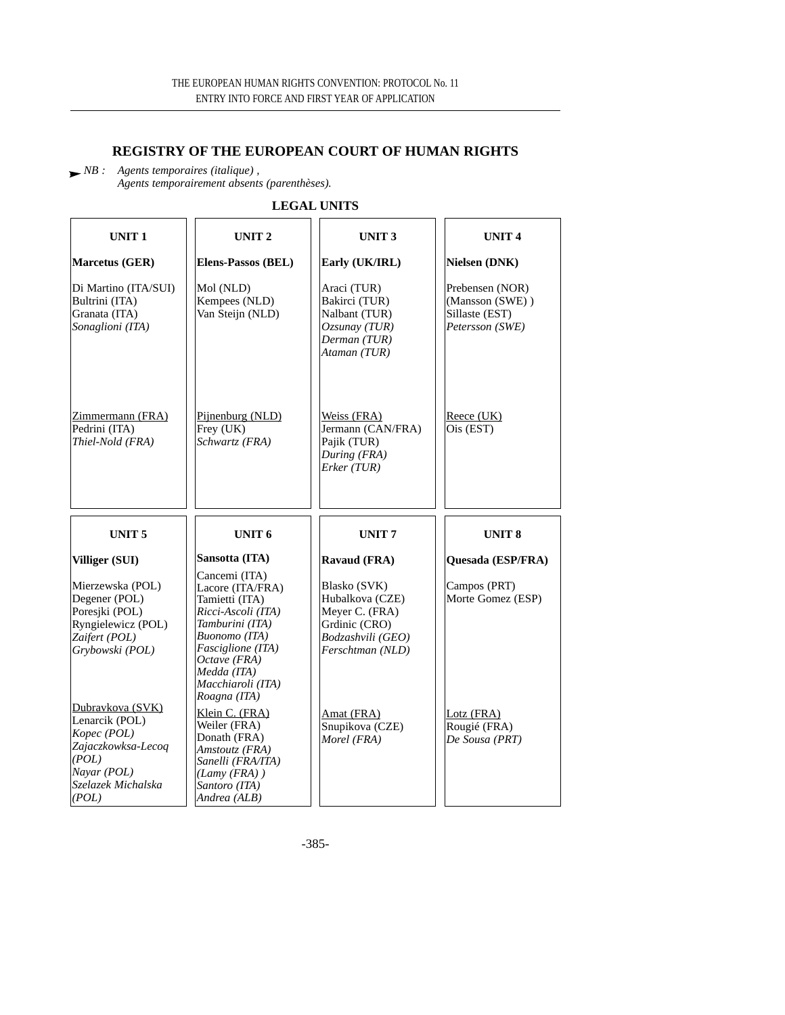# **REGISTRY OF THE EUROPEAN COURT OF HUMAN RIGHTS**

*NB : Agents temporaires (italique) , Agents temporairement absents (parenthèses).*

**LEGAL UNITS**

| UNIT <sub>1</sub>                                                                                             | UNIT <sub>2</sub>                                                                                                                                                                                      | UNIT <sub>3</sub>                                                                                           | <b>UNIT4</b>                                                            |
|---------------------------------------------------------------------------------------------------------------|--------------------------------------------------------------------------------------------------------------------------------------------------------------------------------------------------------|-------------------------------------------------------------------------------------------------------------|-------------------------------------------------------------------------|
| Marcetus (GER)                                                                                                | Elens-Passos (BEL)                                                                                                                                                                                     | Early (UK/IRL)                                                                                              | Nielsen (DNK)                                                           |
| Di Martino (ITA/SUI)<br>Bultrini (ITA)<br>Granata (ITA)<br>Sonaglioni (ITA)                                   | Mol (NLD)<br>Kempees (NLD)<br>Van Steijn (NLD)                                                                                                                                                         | Araci (TUR)<br>Bakirci (TUR)<br>Nalbant (TUR)<br>$Ozsumay$ (TUR)<br>Derman (TUR)<br>Ataman (TUR)            | Prebensen (NOR)<br>(Mansson (SWE))<br>Sillaste (EST)<br>Petersson (SWE) |
| Zimmermann (FRA)<br>Pedrini (ITA)<br>Thiel-Nold (FRA)                                                         | Pijnenburg (NLD)<br>Frey (UK)<br>Schwartz (FRA)                                                                                                                                                        | Weiss (FRA)<br>Jermann (CAN/FRA)<br>Pajik (TUR)<br>During (FRA)<br>Erker (TUR)                              | Reece (UK)<br>Ois (EST)                                                 |
|                                                                                                               |                                                                                                                                                                                                        |                                                                                                             |                                                                         |
| UNIT <sub>5</sub>                                                                                             | UNIT <sub>6</sub>                                                                                                                                                                                      | <b>UNIT7</b>                                                                                                | <b>UNIT 8</b>                                                           |
| Villiger (SUI)                                                                                                | Sansotta (ITA)                                                                                                                                                                                         | Ravaud (FRA)                                                                                                | Quesada (ESP/FRA)                                                       |
| Mierzewska (POL)<br>Degener (POL)<br>Poresjki (POL)<br>Ryngielewicz (POL)<br>Zaifert (POL)<br>Grybowski (POL) | Cancemi (ITA)<br>Lacore (ITA/FRA)<br>Tamietti (ITA)<br>Ricci-Ascoli (ITA)<br>Tamburini (ITA)<br>Buonomo (ITA)<br>Fasciglione (ITA)<br>Octave (FRA)<br>Medda (ITA)<br>Macchiaroli (ITA)<br>Roagna (ITA) | Blasko (SVK)<br>Hubalkova (CZE)<br>Meyer C. (FRA)<br>Grdinic (CRO)<br>Bodzashvili (GEO)<br>Ferschtman (NLD) | Campos (PRT)<br>Morte Gomez (ESP)                                       |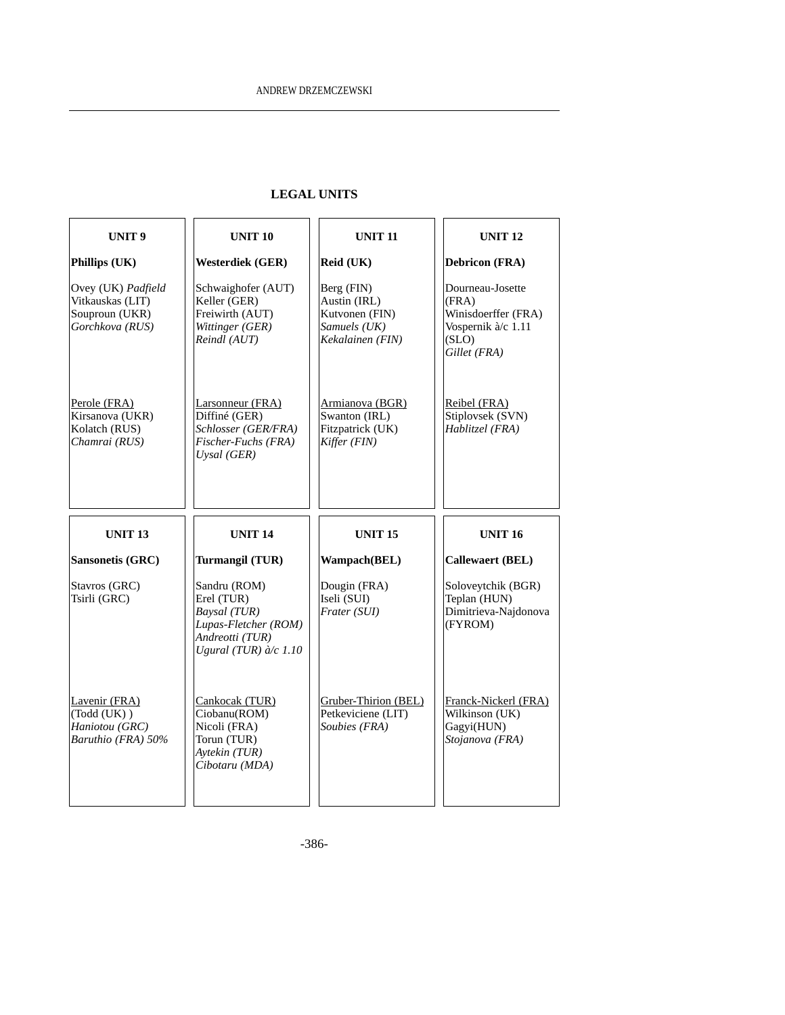# **LEGAL UNITS**

| UNIT <sub>9</sub>                                                           | <b>UNIT 10</b>                                                                                                          | <b>UNIT 11</b>                                                                   | <b>UNIT 12</b>                                                                                  |
|-----------------------------------------------------------------------------|-------------------------------------------------------------------------------------------------------------------------|----------------------------------------------------------------------------------|-------------------------------------------------------------------------------------------------|
| Phillips (UK)                                                               | <b>Westerdiek (GER)</b>                                                                                                 | Reid (UK)                                                                        | <b>Debricon (FRA)</b>                                                                           |
| Ovey (UK) Padfield<br>Vitkauskas (LIT)<br>Souproun (UKR)<br>Gorchkova (RUS) | Schwaighofer (AUT)<br>Keller (GER)<br>Freiwirth (AUT)<br>Wittinger (GER)<br>Reindl (AUT)                                | Berg (FIN)<br>Austin (IRL)<br>Kutvonen (FIN)<br>Samuels (UK)<br>Kekalainen (FIN) | Dourneau-Josette<br>(FRA)<br>Winisdoerffer (FRA)<br>Vospernik à/c 1.11<br>(SLO)<br>Gillet (FRA) |
| Perole (FRA)<br>Kirsanova (UKR)<br>Kolatch (RUS)<br>Chamrai (RUS)           | Larsonneur (FRA)<br>Diffiné (GER)<br>Schlosser (GER/FRA)<br>Fischer-Fuchs (FRA)<br>Uysal (GER)                          | Armianova (BGR)<br>Swanton (IRL)<br>Fitzpatrick (UK)<br>Kiffer (FIN)             | Reibel (FRA)<br>Stiplovsek (SVN)<br>Hablitzel (FRA)                                             |
|                                                                             |                                                                                                                         |                                                                                  |                                                                                                 |
| <b>UNIT 13</b>                                                              | <b>UNIT 14</b>                                                                                                          | <b>UNIT 15</b>                                                                   | <b>UNIT 16</b>                                                                                  |
| Sansonetis (GRC)                                                            | Turmangil (TUR)                                                                                                         | Wampach(BEL)                                                                     | <b>Callewaert (BEL)</b>                                                                         |
| Stavros (GRC)<br>Tsirli (GRC)                                               | Sandru (ROM)<br>Erel (TUR)<br>Baysal (TUR)<br>Lupas-Fletcher (ROM)<br>Andreotti (TUR)<br>Ugural (TUR) $\partial/c$ 1.10 | Dougin (FRA)<br>Iseli (SUI)<br>Frater (SUI)                                      | Soloveytchik (BGR)<br>Teplan (HUN)<br>Dimitrieva-Najdonova<br>(FYROM)                           |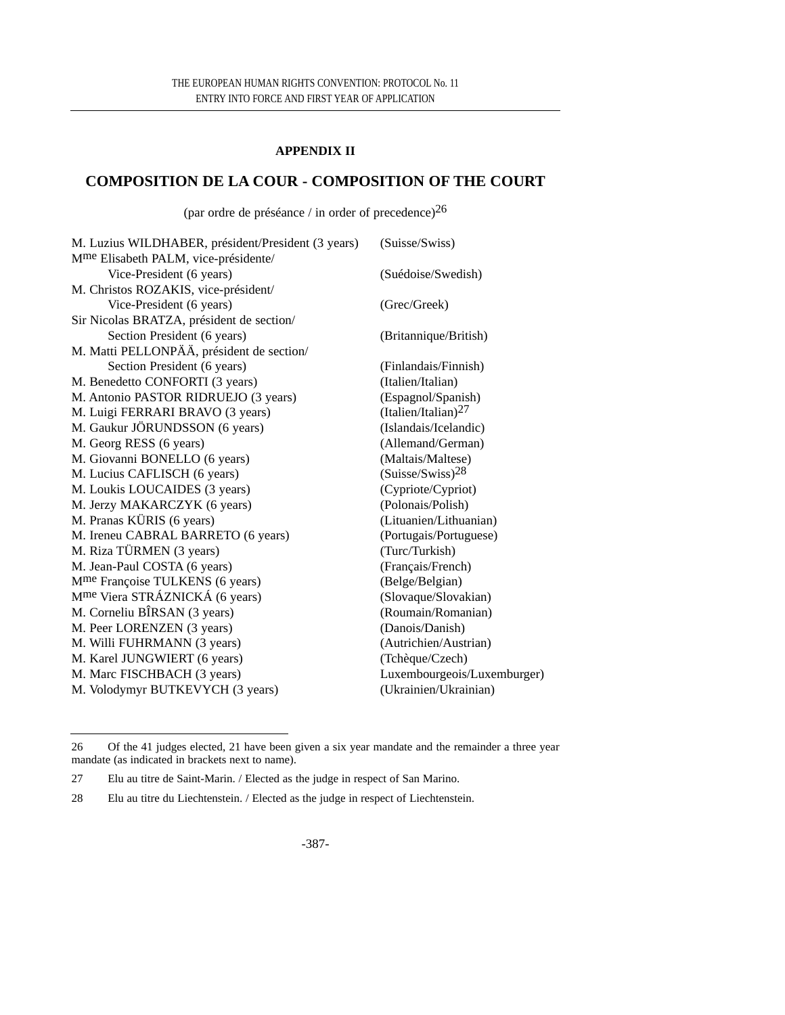#### **APPENDIX II**

# **COMPOSITION DE LA COUR - COMPOSITION OF THE COURT**

(par ordre de préséance / in order of precedence) $^{26}$ 

| M. Luzius WILDHABER, président/President (3 years) | (Suisse/Swiss)               |
|----------------------------------------------------|------------------------------|
| M <sup>me</sup> Elisabeth PALM, vice-présidente/   |                              |
| Vice-President (6 years)                           | (Suédoise/Swedish)           |
| M. Christos ROZAKIS, vice-président/               |                              |
| Vice-President (6 years)                           | (Grec/Greek)                 |
| Sir Nicolas BRATZA, président de section/          |                              |
| Section President (6 years)                        | (Britannique/British)        |
| M. Matti PELLONPÄÄ, président de section/          |                              |
| Section President (6 years)                        | (Finlandais/Finnish)         |
| M. Benedetto CONFORTI (3 years)                    | (Italien/Italian)            |
| M. Antonio PASTOR RIDRUEJO (3 years)               | (Espagnol/Spanish)           |
| M. Luigi FERRARI BRAVO (3 years)                   | (Italien/Italian) $^{27}$    |
| M. Gaukur JÖRUNDSSON (6 years)                     | (Islandais/Icelandic)        |
| M. Georg RESS (6 years)                            | (Allemand/German)            |
| M. Giovanni BONELLO (6 years)                      | (Maltais/Maltese)            |
| M. Lucius CAFLISCH (6 years)                       | (Suisse/Swiss) <sup>28</sup> |
| M. Loukis LOUCAIDES (3 years)                      | (Cypriote/Cypriot)           |
| M. Jerzy MAKARCZYK (6 years)                       | (Polonais/Polish)            |
| M. Pranas KÜRIS (6 years)                          | (Lituanien/Lithuanian)       |
| M. Ireneu CABRAL BARRETO (6 years)                 | (Portugais/Portuguese)       |
| M. Riza TÜRMEN (3 years)                           | (Turc/Turkish)               |
| M. Jean-Paul COSTA (6 years)                       | (Français/French)            |
| M <sup>me</sup> Françoise TULKENS (6 years)        | (Belge/Belgian)              |
| M <sup>me</sup> Viera STRÁZNICKÁ (6 years)         | (Slovaque/Slovakian)         |
| M. Corneliu BÎRSAN (3 years)                       | (Roumain/Romanian)           |
| M. Peer LORENZEN (3 years)                         | (Danois/Danish)              |
| M. Willi FUHRMANN (3 years)                        | (Autrichien/Austrian)        |
| M. Karel JUNGWIERT (6 years)                       | (Tchèque/Czech)              |
| M. Marc FISCHBACH (3 years)                        | Luxembourgeois/Luxemburger)  |
| M. Volodymyr BUTKEVYCH (3 years)                   | (Ukrainien/Ukrainian)        |
|                                                    |                              |

<sup>26</sup> Of the 41 judges elected, 21 have been given a six year mandate and the remainder a three year mandate (as indicated in brackets next to name).

<sup>27</sup> Elu au titre de Saint-Marin. / Elected as the judge in respect of San Marino.

<sup>28</sup> Elu au titre du Liechtenstein. / Elected as the judge in respect of Liechtenstein.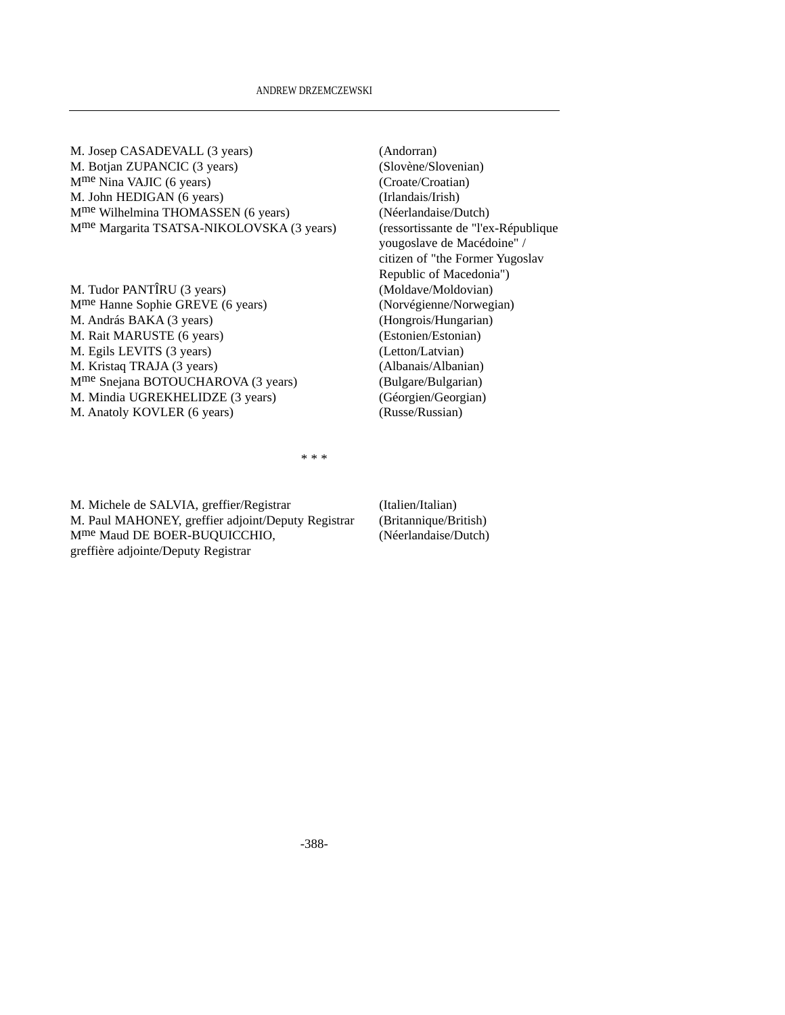| M. Josep CASADEVALL (3 years)                         | (Andorran)              |
|-------------------------------------------------------|-------------------------|
| M. Botjan ZUPANCIC (3 years)                          | (Slovène/Slovenian)     |
| $Mme Nina VAJIC$ (6 years)                            | (Croate/Croatian)       |
| M. John HEDIGAN (6 years)                             | (Irlandais/Irish)       |
| M <sup>me</sup> Wilhelmina THOMASSEN (6 years)        | (Néerlandaise/Dutch)    |
| M <sup>me</sup> Margarita TSATSA-NIKOLOVSKA (3 years) | (ressortissante de "l'e |
|                                                       | yougoslave de Macéo     |
|                                                       | citizen of "the Forme   |

M. Tudor PANTÎRU (3 years) (Moldave/Moldovian) Mme Hanne Sophie GREVE (6 years) (Norvégienne/Norwegian) M. András BAKA (3 years) (Hongrois/Hungarian) M. Rait MARUSTE (6 years) (Estonien/Estonian) M. Egils LEVITS (3 years) (Letton/Latvian) M. Kristaq TRAJA (3 years) (Albanais/Albanian) Mme Snejana BOTOUCHAROVA (3 years) (Bulgare/Bulgarian) M. Mindia UGREKHELIDZE (3 years) (Géorgien/Georgian) M. Anatoly KOVLER (6 years) (Russe/Russian)

te de "l'ex-République de Macédoine" / citizen of "the Former Yugoslav Republic of Macedonia")

\* \* \*

M. Michele de SALVIA, greffier/Registrar (Italien/Italian) M. Paul MAHONEY, greffier adjoint/Deputy Registrar (Britannique/British)<br>M<sup>me</sup> Maud DE BOER-BUOUICCHIO, (Néerlandaise/Dutch) M<sup>me</sup> Maud DE BOER-BUQUICCHIO, greffière adjointe/Deputy Registrar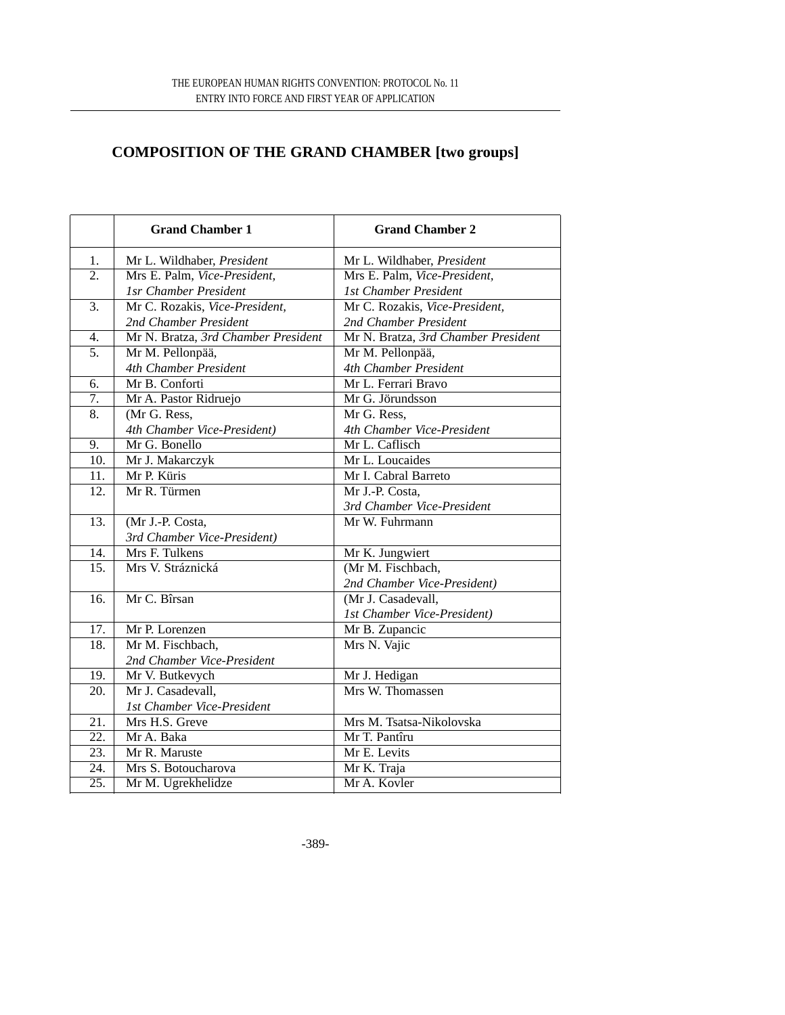# **COMPOSITION OF THE GRAND CHAMBER [two groups]**

|                   | <b>Grand Chamber 1</b>              | <b>Grand Chamber 2</b>              |
|-------------------|-------------------------------------|-------------------------------------|
| 1.                | Mr L. Wildhaber, President          | Mr L. Wildhaber, President          |
| $\overline{2}$ .  | Mrs E. Palm, Vice-President,        | Mrs E. Palm, Vice-President,        |
|                   | 1sr Chamber President               | 1st Chamber President               |
| $\overline{3}$ .  | Mr C. Rozakis, Vice-President,      | Mr C. Rozakis, Vice-President,      |
|                   | 2nd Chamber President               | 2nd Chamber President               |
| $\overline{4}$ .  | Mr N. Bratza, 3rd Chamber President | Mr N. Bratza, 3rd Chamber President |
| $\overline{5}$ .  | Mr M. Pellonpää,                    | Mr M. Pellonpää,                    |
|                   | 4th Chamber President               | 4th Chamber President               |
| 6.                | Mr B. Conforti                      | Mr L. Ferrari Bravo                 |
| 7.                | Mr A. Pastor Ridruejo               | Mr G. Jörundsson                    |
| $\overline{8}$ .  | (Mr G. Ress,                        | Mr G. Ress,                         |
|                   | 4th Chamber Vice-President)         | 4th Chamber Vice-President          |
| $\overline{9}$ .  | Mr G. Bonello                       | Mr L. Caflisch                      |
| 10.               | Mr J. Makarczyk                     | Mr L. Loucaides                     |
| 11.               | Mr P. Küris                         | Mr I. Cabral Barreto                |
| 12.               | Mr R. Türmen                        | Mr J.-P. Costa,                     |
|                   |                                     | 3rd Chamber Vice-President          |
| 13.               | (Mr J.-P. Costa,                    | Mr W. Fuhrmann                      |
|                   | 3rd Chamber Vice-President)         |                                     |
| 14.               | Mrs F. Tulkens                      | Mr K. Jungwiert                     |
| 15.               | Mrs V. Stráznická                   | (Mr M. Fischbach,                   |
|                   |                                     | 2nd Chamber Vice-President)         |
| 16.               | Mr C. Bîrsan                        | (Mr J. Casadevall,                  |
|                   |                                     | 1st Chamber Vice-President)         |
| 17.               | Mr P. Lorenzen                      | Mr B. Zupancic                      |
| 18.               | Mr M. Fischbach,                    | Mrs N. Vajic                        |
|                   | 2nd Chamber Vice-President          |                                     |
| 19.               | Mr V. Butkevych                     | Mr J. Hedigan                       |
| 20.               | Mr J. Casadevall,                   | Mrs W. Thomassen                    |
|                   | 1st Chamber Vice-President          |                                     |
| 21.               | Mrs H.S. Greve                      | Mrs M. Tsatsa-Nikolovska            |
| 22.               | Mr A. Baka                          | Mr T. Pantîru                       |
| 23.               | Mr R. Maruste                       | Mr E. Levits                        |
| 24.               | Mrs S. Botoucharova                 | Mr K. Traja                         |
| $\overline{25}$ . | Mr M. Ugrekhelidze                  | Mr A. Kovler                        |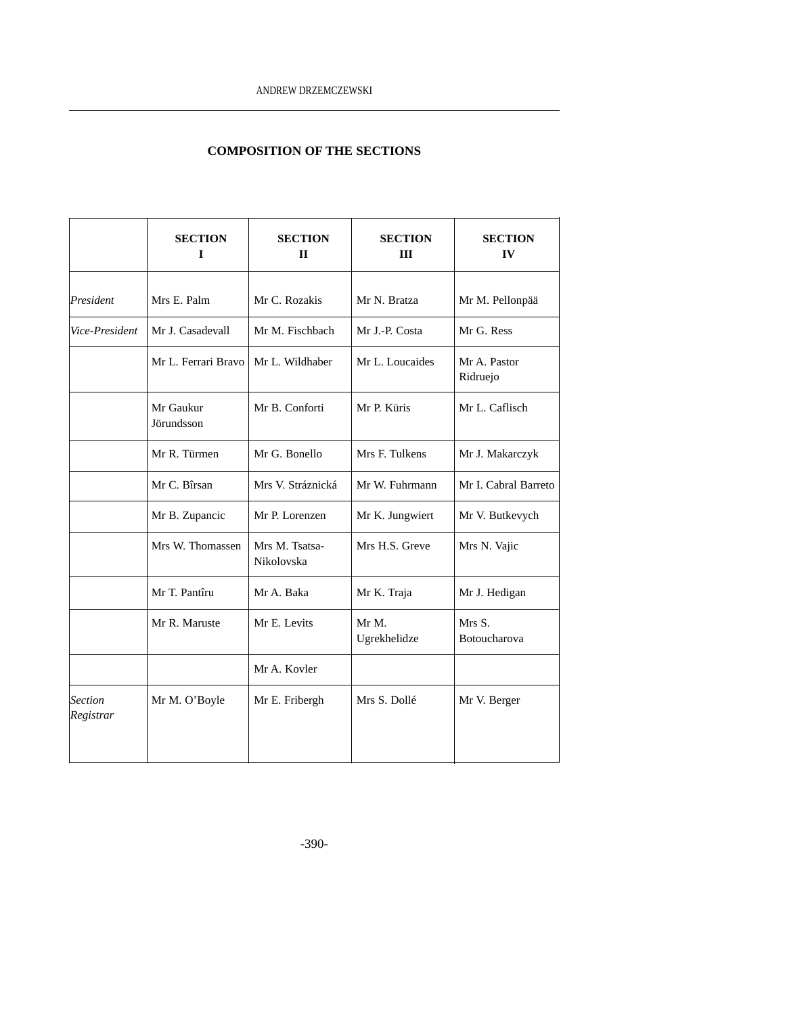# **COMPOSITION OF THE SECTIONS**

|                             | <b>SECTION</b><br>I     | <b>SECTION</b><br>$\mathbf{I}$ | <b>SECTION</b><br><b>III</b> | <b>SECTION</b><br>IV     |
|-----------------------------|-------------------------|--------------------------------|------------------------------|--------------------------|
| President                   | Mrs E. Palm             | Mr C. Rozakis                  | Mr N. Bratza                 | Mr M. Pellonpää          |
| Vice-President              | Mr J. Casadevall        | Mr M. Fischbach                | Mr J.-P. Costa               | Mr G. Ress               |
|                             | Mr L. Ferrari Bravo     | Mr L. Wildhaber                | Mr L. Loucaides              | Mr A. Pastor<br>Ridruejo |
|                             | Mr Gaukur<br>Jörundsson | Mr B. Conforti                 | Mr P. Küris                  | Mr L. Caflisch           |
|                             | Mr R. Türmen            | Mr G. Bonello                  | Mrs F. Tulkens               | Mr J. Makarczyk          |
|                             | Mr C. Bîrsan            | Mrs V. Stráznická              | Mr W. Fuhrmann               | Mr I. Cabral Barreto     |
|                             | Mr B. Zupancic          | Mr P. Lorenzen                 | Mr K. Jungwiert              | Mr V. Butkevych          |
|                             | Mrs W. Thomassen        | Mrs M. Tsatsa-<br>Nikolovska   | Mrs H.S. Greve               | Mrs N. Vajic             |
|                             | Mr T. Pantîru           | Mr A. Baka                     | Mr K. Traja                  | Mr J. Hedigan            |
|                             | Mr R. Maruste           | Mr E. Levits                   | Mr M.<br>Ugrekhelidze        | Mrs S.<br>Botoucharova   |
|                             |                         | Mr A. Kovler                   |                              |                          |
| <b>Section</b><br>Registrar | Mr M. O'Boyle           | Mr E. Fribergh                 | Mrs S. Dollé                 | Mr V. Berger             |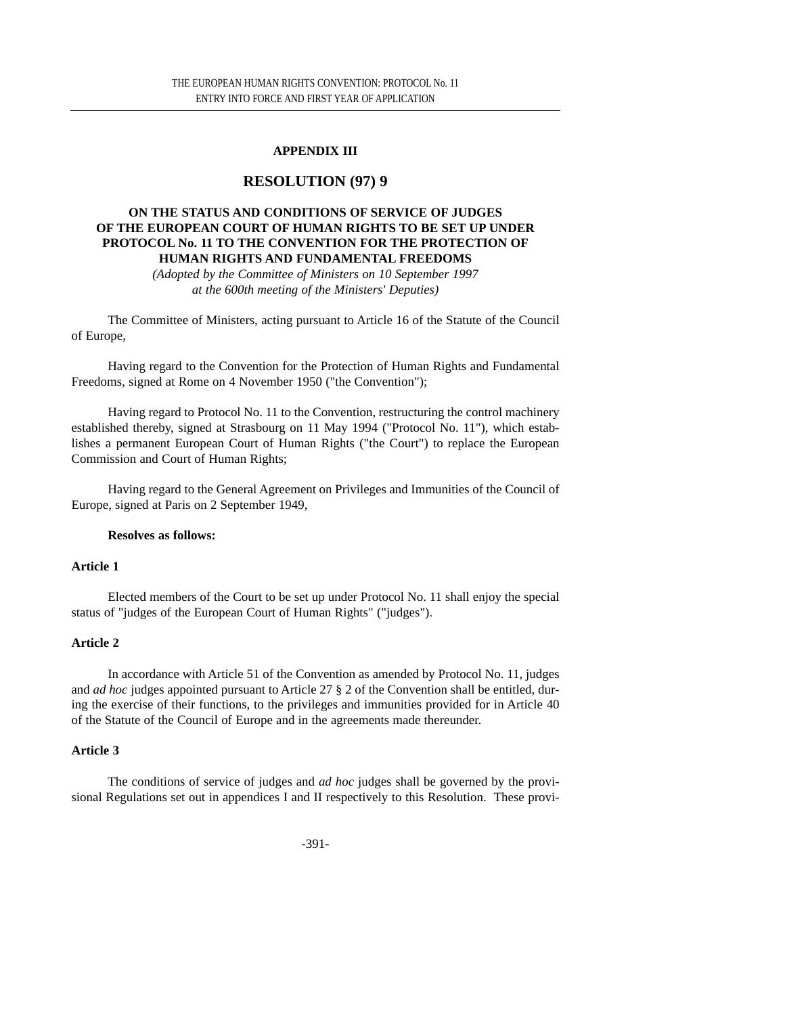# **APPENDIX III**

# **RESOLUTION (97) 9**

### **ON THE STATUS AND CONDITIONS OF SERVICE OF JUDGES OF THE EUROPEAN COURT OF HUMAN RIGHTS TO BE SET UP UNDER PROTOCOL No. 11 TO THE CONVENTION FOR THE PROTECTION OF HUMAN RIGHTS AND FUNDAMENTAL FREEDOMS**

*(Adopted by the Committee of Ministers on 10 September 1997 at the 600th meeting of the Ministers' Deputies)*

The Committee of Ministers, acting pursuant to Article 16 of the Statute of the Council of Europe,

Having regard to the Convention for the Protection of Human Rights and Fundamental Freedoms, signed at Rome on 4 November 1950 ("the Convention");

Having regard to Protocol No. 11 to the Convention, restructuring the control machinery established thereby, signed at Strasbourg on 11 May 1994 ("Protocol No. 11"), which establishes a permanent European Court of Human Rights ("the Court") to replace the European Commission and Court of Human Rights;

Having regard to the General Agreement on Privileges and Immunities of the Council of Europe, signed at Paris on 2 September 1949,

#### **Resolves as follows:**

#### **Article 1**

Elected members of the Court to be set up under Protocol No. 11 shall enjoy the special status of "judges of the European Court of Human Rights" ("judges").

#### **Article 2**

In accordance with Article 51 of the Convention as amended by Protocol No. 11, judges and *ad hoc* judges appointed pursuant to Article 27 § 2 of the Convention shall be entitled, during the exercise of their functions, to the privileges and immunities provided for in Article 40 of the Statute of the Council of Europe and in the agreements made thereunder.

#### **Article 3**

The conditions of service of judges and *ad hoc* judges shall be governed by the provisional Regulations set out in appendices I and II respectively to this Resolution. These provi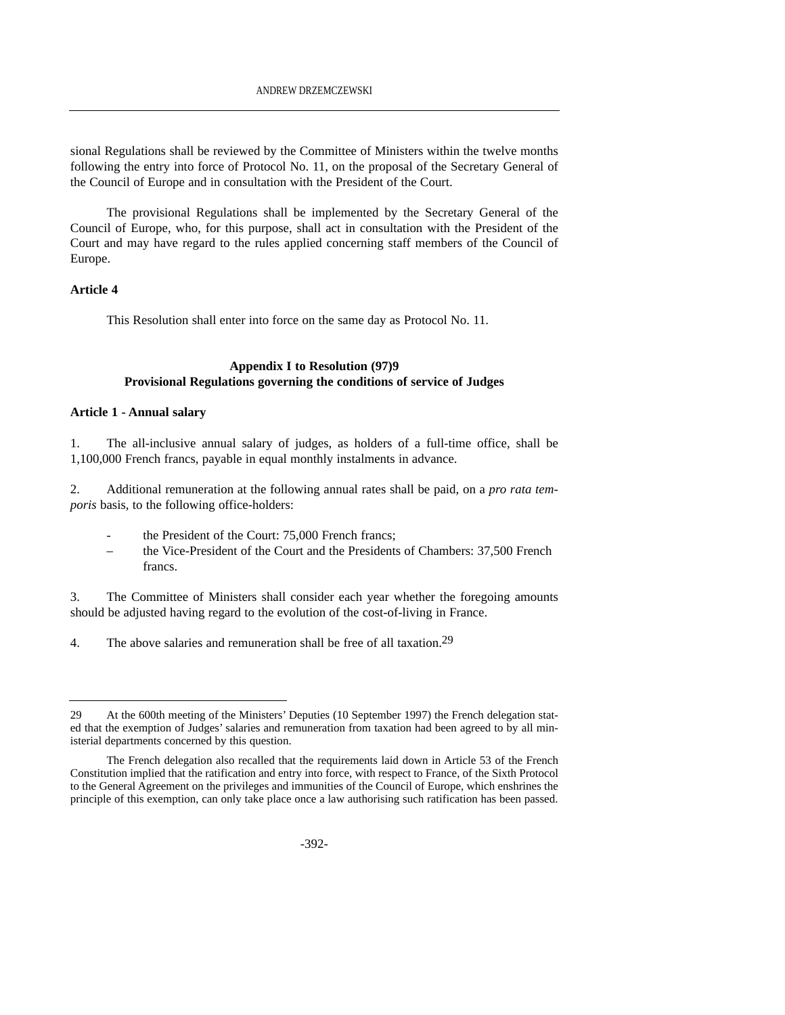sional Regulations shall be reviewed by the Committee of Ministers within the twelve months following the entry into force of Protocol No. 11, on the proposal of the Secretary General of the Council of Europe and in consultation with the President of the Court.

The provisional Regulations shall be implemented by the Secretary General of the Council of Europe, who, for this purpose, shall act in consultation with the President of the Court and may have regard to the rules applied concerning staff members of the Council of Europe.

#### **Article 4**

This Resolution shall enter into force on the same day as Protocol No. 11.

#### **Appendix I to Resolution (97)9 Provisional Regulations governing the conditions of service of Judges**

#### **Article 1 - Annual salary**

1. The all-inclusive annual salary of judges, as holders of a full-time office, shall be 1,100,000 French francs, payable in equal monthly instalments in advance.

2. Additional remuneration at the following annual rates shall be paid, on a *pro rata temporis* basis, to the following office-holders:

- the President of the Court: 75,000 French francs:
- the Vice-President of the Court and the Presidents of Chambers: 37,500 French francs.

3. The Committee of Ministers shall consider each year whether the foregoing amounts should be adjusted having regard to the evolution of the cost-of-living in France.

4. The above salaries and remuneration shall be free of all taxation.<sup>29</sup>

<sup>29</sup> At the 600th meeting of the Ministers' Deputies (10 September 1997) the French delegation stated that the exemption of Judges' salaries and remuneration from taxation had been agreed to by all ministerial departments concerned by this question.

The French delegation also recalled that the requirements laid down in Article 53 of the French Constitution implied that the ratification and entry into force, with respect to France, of the Sixth Protocol to the General Agreement on the privileges and immunities of the Council of Europe, which enshrines the principle of this exemption, can only take place once a law authorising such ratification has been passed.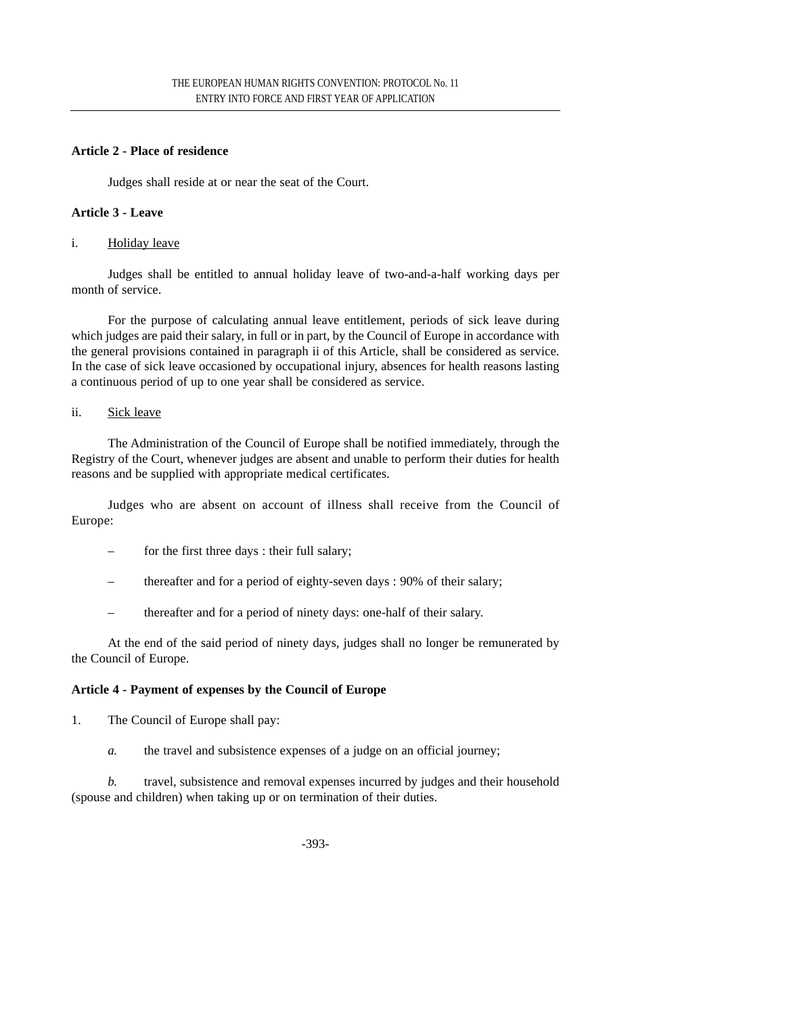# **Article 2 - Place of residence**

Judges shall reside at or near the seat of the Court.

#### **Article 3 - Leave**

#### i. Holiday leave

Judges shall be entitled to annual holiday leave of two-and-a-half working days per month of service.

For the purpose of calculating annual leave entitlement, periods of sick leave during which judges are paid their salary, in full or in part, by the Council of Europe in accordance with the general provisions contained in paragraph ii of this Article, shall be considered as service. In the case of sick leave occasioned by occupational injury, absences for health reasons lasting a continuous period of up to one year shall be considered as service.

#### ii. Sick leave

The Administration of the Council of Europe shall be notified immediately, through the Registry of the Court, whenever judges are absent and unable to perform their duties for health reasons and be supplied with appropriate medical certificates.

Judges who are absent on account of illness shall receive from the Council of Europe:

- for the first three days : their full salary;
- thereafter and for a period of eighty-seven days : 90% of their salary;
- thereafter and for a period of ninety days: one-half of their salary.

At the end of the said period of ninety days, judges shall no longer be remunerated by the Council of Europe.

# **Article 4 - Payment of expenses by the Council of Europe**

- 1. The Council of Europe shall pay:
	- *a.* the travel and subsistence expenses of a judge on an official journey;

*b.* travel, subsistence and removal expenses incurred by judges and their household (spouse and children) when taking up or on termination of their duties.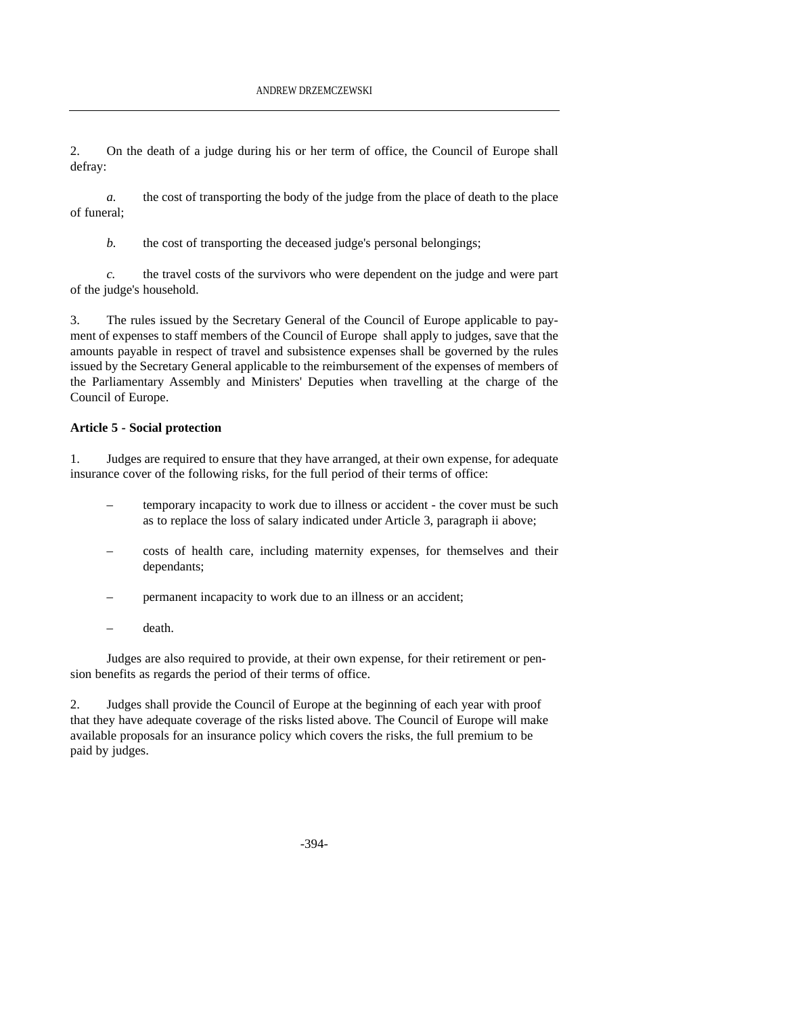2. On the death of a judge during his or her term of office, the Council of Europe shall defray:

*a.* the cost of transporting the body of the judge from the place of death to the place of funeral;

*b.* the cost of transporting the deceased judge's personal belongings;

*c.* the travel costs of the survivors who were dependent on the judge and were part of the judge's household.

3. The rules issued by the Secretary General of the Council of Europe applicable to payment of expenses to staff members of the Council of Europe shall apply to judges, save that the amounts payable in respect of travel and subsistence expenses shall be governed by the rules issued by the Secretary General applicable to the reimbursement of the expenses of members of the Parliamentary Assembly and Ministers' Deputies when travelling at the charge of the Council of Europe.

### **Article 5 - Social protection**

1. Judges are required to ensure that they have arranged, at their own expense, for adequate insurance cover of the following risks, for the full period of their terms of office:

- temporary incapacity to work due to illness or accident the cover must be such as to replace the loss of salary indicated under Article 3, paragraph ii above;
- costs of health care, including maternity expenses, for themselves and their dependants;
- permanent incapacity to work due to an illness or an accident;
- death.

Judges are also required to provide, at their own expense, for their retirement or pension benefits as regards the period of their terms of office.

2. Judges shall provide the Council of Europe at the beginning of each year with proof that they have adequate coverage of the risks listed above. The Council of Europe will make available proposals for an insurance policy which covers the risks, the full premium to be paid by judges.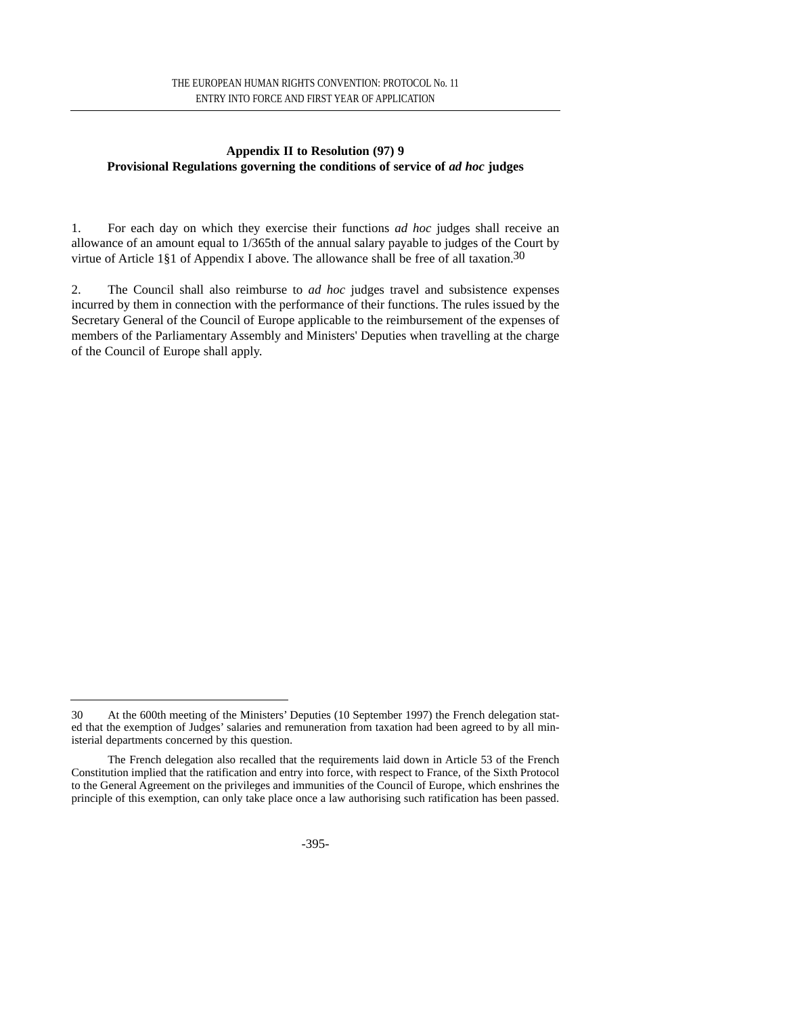### **Appendix II to Resolution (97) 9 Provisional Regulations governing the conditions of service of** *ad hoc* **judges**

1. For each day on which they exercise their functions *ad hoc* judges shall receive an allowance of an amount equal to 1/365th of the annual salary payable to judges of the Court by virtue of Article 1§1 of Appendix I above. The allowance shall be free of all taxation.30

2. The Council shall also reimburse to *ad hoc* judges travel and subsistence expenses incurred by them in connection with the performance of their functions. The rules issued by the Secretary General of the Council of Europe applicable to the reimbursement of the expenses of members of the Parliamentary Assembly and Ministers' Deputies when travelling at the charge of the Council of Europe shall apply.

<sup>30</sup> At the 600th meeting of the Ministers' Deputies (10 September 1997) the French delegation stated that the exemption of Judges' salaries and remuneration from taxation had been agreed to by all ministerial departments concerned by this question.

The French delegation also recalled that the requirements laid down in Article 53 of the French Constitution implied that the ratification and entry into force, with respect to France, of the Sixth Protocol to the General Agreement on the privileges and immunities of the Council of Europe, which enshrines the principle of this exemption, can only take place once a law authorising such ratification has been passed.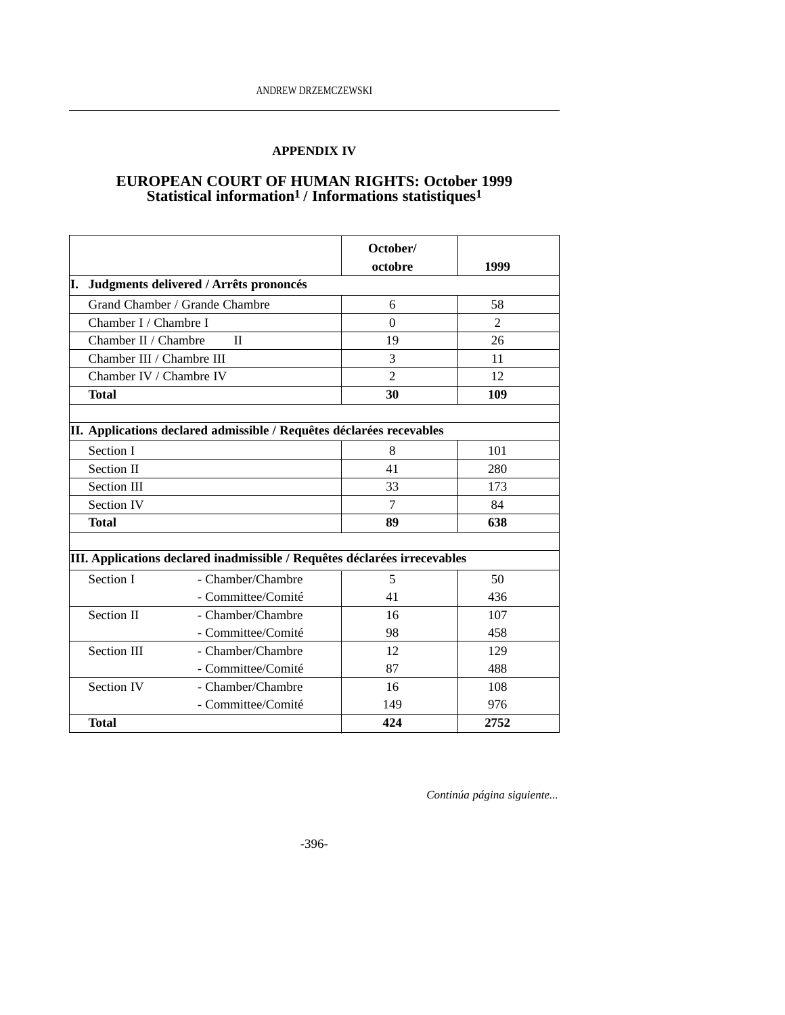# **APPENDIX IV**

# **EUROPEAN COURT OF HUMAN RIGHTS: October 1999** Statistical information<sup>1</sup> / Informations statistiques<sup>1</sup>

|                                                                           |                                                                      | October/       |                |  |
|---------------------------------------------------------------------------|----------------------------------------------------------------------|----------------|----------------|--|
|                                                                           |                                                                      | octobre        | 1999           |  |
| Judgments delivered / Arrêts prononcés<br>I.                              |                                                                      |                |                |  |
| Grand Chamber / Grande Chambre                                            |                                                                      | 6              | 58             |  |
| Chamber I / Chambre I                                                     |                                                                      | $\Omega$       | $\overline{2}$ |  |
|                                                                           | Chamber II / Chambre<br>$\mathbf{I}$                                 |                | 26             |  |
|                                                                           | Chamber III / Chambre III                                            |                | 11             |  |
| Chamber IV / Chambre IV                                                   |                                                                      | $\overline{2}$ | 12             |  |
| <b>Total</b>                                                              |                                                                      | 30             | 109            |  |
|                                                                           |                                                                      |                |                |  |
|                                                                           | II. Applications declared admissible / Requêtes déclarées recevables |                |                |  |
| Section I                                                                 |                                                                      | 8              | 101            |  |
| Section II                                                                |                                                                      | 41             | 280            |  |
| Section III                                                               |                                                                      | 33             | 173            |  |
| <b>Section IV</b>                                                         |                                                                      | $\overline{7}$ | 84             |  |
| Total                                                                     |                                                                      | 89             | 638            |  |
|                                                                           |                                                                      |                |                |  |
| III. Applications declared inadmissible / Requêtes déclarées irrecevables |                                                                      |                |                |  |
| Section I                                                                 | - Chamber/Chambre                                                    | 5              | 50             |  |
|                                                                           | - Committee/Comité                                                   | 41             | 436            |  |
| Section II                                                                | - Chamber/Chambre                                                    | 16             | 107            |  |
|                                                                           | - Committee/Comité                                                   | 98             | 458            |  |
| Section III                                                               | - Chamber/Chambre                                                    | 12             | 129            |  |
|                                                                           | - Committee/Comité                                                   | 87             | 488            |  |
| <b>Section IV</b>                                                         | - Chamber/Chambre                                                    | 16             | 108            |  |
|                                                                           | - Committee/Comité                                                   | 149            | 976            |  |
| <b>Total</b>                                                              |                                                                      | 424            | 2752           |  |

*Continúa página siguiente...*